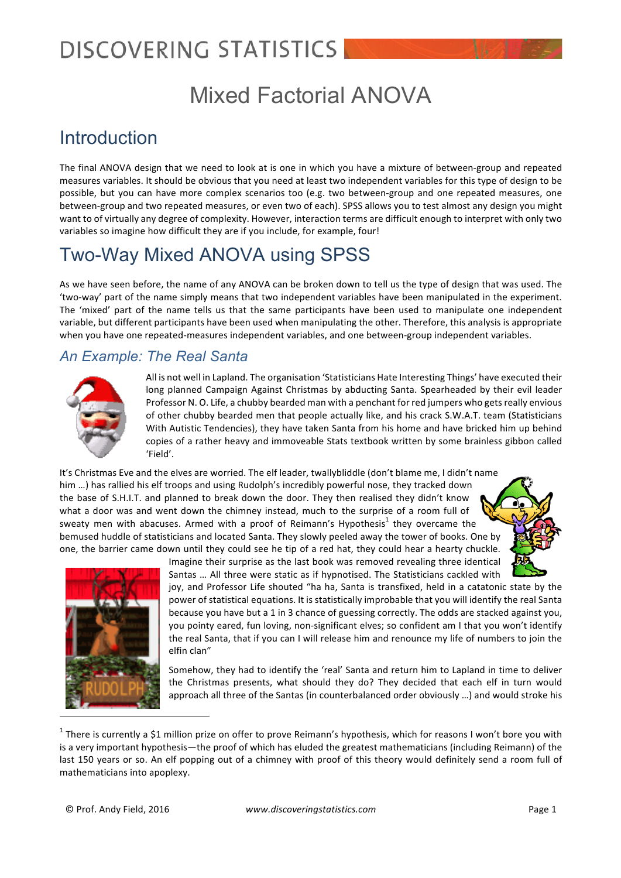### Mixed Factorial ANOVA

### Introduction

The final ANOVA design that we need to look at is one in which you have a mixture of between-group and repeated measures variables. It should be obvious that you need at least two independent variables for this type of design to be possible, but you can have more complex scenarios too (e.g. two between-group and one repeated measures, one between-group and two repeated measures, or even two of each). SPSS allows you to test almost any design you might want to of virtually any degree of complexity. However, interaction terms are difficult enough to interpret with only two variables so imagine how difficult they are if you include, for example, four!

### Two-Way Mixed ANOVA using SPSS

As we have seen before, the name of any ANOVA can be broken down to tell us the type of design that was used. The 'two-way' part of the name simply means that two independent variables have been manipulated in the experiment. The 'mixed' part of the name tells us that the same participants have been used to manipulate one independent variable, but different participants have been used when manipulating the other. Therefore, this analysis is appropriate when you have one repeated-measures independent variables, and one between-group independent variables.

### *An Example: The Real Santa*



All is not well in Lapland. The organisation 'Statisticians Hate Interesting Things' have executed their long planned Campaign Against Christmas by abducting Santa. Spearheaded by their evil leader Professor N. O. Life, a chubby bearded man with a penchant for red jumpers who gets really envious of other chubby bearded men that people actually like, and his crack S.W.A.T. team (Statisticians With Autistic Tendencies), they have taken Santa from his home and have bricked him up behind copies of a rather heavy and immoveable Stats textbook written by some brainless gibbon called 'Field'.

It's Christmas Eve and the elves are worried. The elf leader, twallybliddle (don't blame me, I didn't name him ...) has rallied his elf troops and using Rudolph's incredibly powerful nose, they tracked down the base of S.H.I.T. and planned to break down the door. They then realised they didn't know what a door was and went down the chimney instead, much to the surprise of a room full of sweaty men with abacuses. Armed with a proof of Reimann's Hypothesis<sup>1</sup> they overcame the bemused huddle of statisticians and located Santa. They slowly peeled away the tower of books. One by one, the barrier came down until they could see he tip of a red hat, they could hear a hearty chuckle.





Imagine their surprise as the last book was removed revealing three identical Santas ... All three were static as if hypnotised. The Statisticians cackled with

joy, and Professor Life shouted "ha ha, Santa is transfixed, held in a catatonic state by the power of statistical equations. It is statistically improbable that you will identify the real Santa because you have but a 1 in 3 chance of guessing correctly. The odds are stacked against you, you pointy eared, fun loving, non-significant elves; so confident am I that you won't identify the real Santa, that if you can I will release him and renounce my life of numbers to join the elfin clan"

Somehow, they had to identify the 'real' Santa and return him to Lapland in time to deliver the Christmas presents, what should they do? They decided that each elf in turn would approach all three of the Santas (in counterbalanced order obviously ...) and would stroke his

<sup>&</sup>lt;sup>1</sup> There is currently a \$1 million prize on offer to prove Reimann's hypothesis, which for reasons I won't bore you with is a very important hypothesis—the proof of which has eluded the greatest mathematicians (including Reimann) of the last 150 years or so. An elf popping out of a chimney with proof of this theory would definitely send a room full of mathematicians into apoplexy.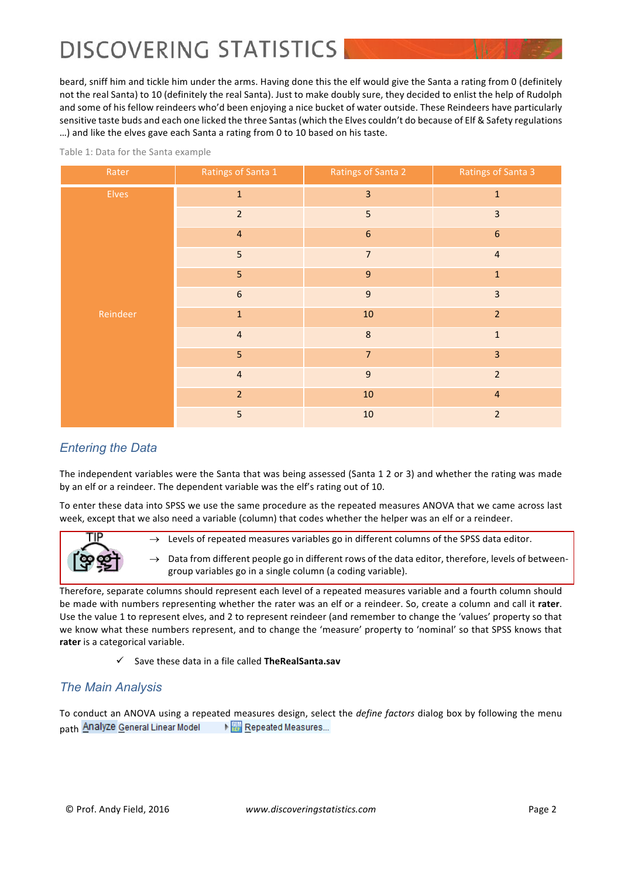beard, sniff him and tickle him under the arms. Having done this the elf would give the Santa a rating from 0 (definitely not the real Santa) to 10 (definitely the real Santa). Just to make doubly sure, they decided to enlist the help of Rudolph and some of his fellow reindeers who'd been enjoying a nice bucket of water outside. These Reindeers have particularly sensitive taste buds and each one licked the three Santas (which the Elves couldn't do because of Elf & Safety regulations ...) and like the elves gave each Santa a rating from 0 to 10 based on his taste.

| Rater        | Ratings of Santa 1 | Ratings of Santa 2 | Ratings of Santa 3      |
|--------------|--------------------|--------------------|-------------------------|
| <b>Elves</b> | $\mathbf 1$        | 3                  | $\mathbf 1$             |
|              | $\overline{2}$     | 5                  | $\overline{\mathbf{3}}$ |
|              | $\overline{4}$     | $\boldsymbol{6}$   | $\boldsymbol{6}$        |
|              | 5                  | $\overline{7}$     | $\overline{\mathbf{4}}$ |
|              | 5 <sub>5</sub>     | $\boldsymbol{9}$   | $\mathbf 1$             |
|              | $\boldsymbol{6}$   | $\mathsf g$        | $\overline{3}$          |
| Reindeer     | $\mathbf 1$        | $10\,$             | $\overline{2}$          |
|              | $\overline{4}$     | $\bf 8$            | $\mathbf 1$             |
|              | $\overline{5}$     | $\overline{7}$     | $\overline{\mathbf{3}}$ |
|              | $\overline{4}$     | $\mathsf g$        | $\mathbf 2$             |
|              | $\overline{2}$     | $10\,$             | $\overline{4}$          |
|              | 5                  | $10\,$             | $\overline{2}$          |

Table 1: Data for the Santa example

### *Entering the Data*

The independent variables were the Santa that was being assessed (Santa 1 2 or 3) and whether the rating was made by an elf or a reindeer. The dependent variable was the elf's rating out of 10.

To enter these data into SPSS we use the same procedure as the repeated measures ANOVA that we came across last week, except that we also need a variable (column) that codes whether the helper was an elf or a reindeer.



 $\rightarrow$  Levels of repeated measures variables go in different columns of the SPSS data editor.

 $\rightarrow$  Data from different people go in different rows of the data editor, therefore, levels of betweengroup variables go in a single column (a coding variable).

Therefore, separate columns should represent each level of a repeated measures variable and a fourth column should be made with numbers representing whether the rater was an elf or a reindeer. So, create a column and call it rater. Use the value 1 to represent elves, and 2 to represent reindeer (and remember to change the 'values' property so that we know what these numbers represent, and to change the 'measure' property to 'nominal' so that SPSS knows that rater is a categorical variable.

ü Save these data in a file called **TheRealSanta.sav**

### *The Main Analysis*

To conduct an ANOVA using a repeated measures design, select the *define factors* dialog box by following the menu path Analyze General Linear Model Repeated Measures...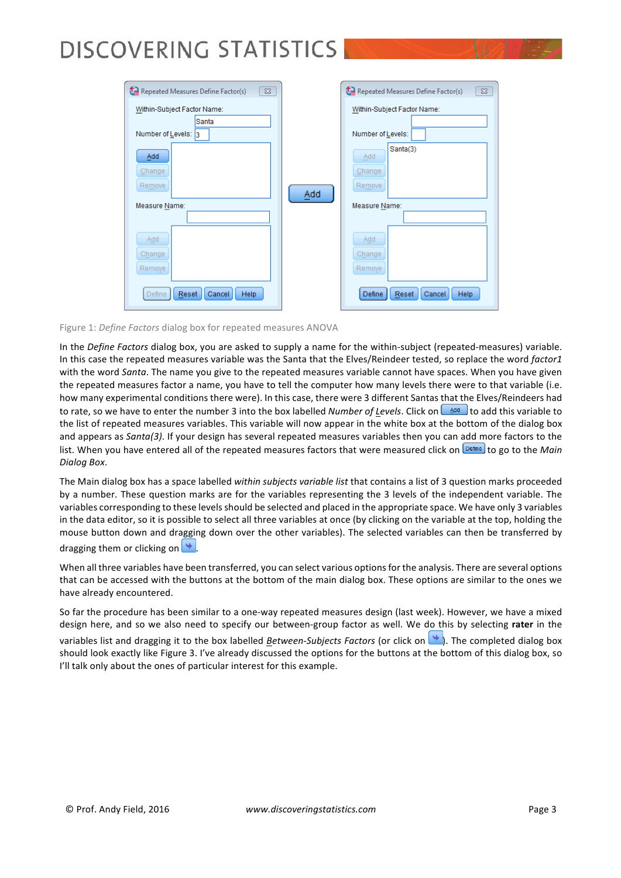

#### Figure 1: *Define Factors* dialog box for repeated measures ANOVA

In the *Define Factors* dialog box, you are asked to supply a name for the within-subject (repeated-measures) variable. In this case the repeated measures variable was the Santa that the Elves/Reindeer tested, so replace the word *factor1* with the word *Santa*. The name you give to the repeated measures variable cannot have spaces. When you have given the repeated measures factor a name, you have to tell the computer how many levels there were to that variable (i.e. how many experimental conditions there were). In this case, there were 3 different Santas that the Elves/Reindeers had to rate, so we have to enter the number 3 into the box labelled *Number of Levels*. Click on  $\Box$  to add this variable to the list of repeated measures variables. This variable will now appear in the white box at the bottom of the dialog box and appears as *Santa(3)*. If your design has several repeated measures variables then you can add more factors to the list. When you have entered all of the repeated measures factors that were measured click on **Define** to go to the *Main Dialog Box*.

The Main dialog box has a space labelled within subjects variable list that contains a list of 3 question marks proceeded by a number. These question marks are for the variables representing the 3 levels of the independent variable. The variables corresponding to these levels should be selected and placed in the appropriate space. We have only 3 variables in the data editor, so it is possible to select all three variables at once (by clicking on the variable at the top, holding the mouse button down and dragging down over the other variables). The selected variables can then be transferred by dragging them or clicking on  $\rightarrow$ 

When all three variables have been transferred, you can select various options for the analysis. There are several options that can be accessed with the buttons at the bottom of the main dialog box. These options are similar to the ones we have already encountered.

So far the procedure has been similar to a one-way repeated measures design (last week). However, we have a mixed design here, and so we also need to specify our between-group factor as well. We do this by selecting rater in the

variables list and dragging it to the box labelled *Between-Subjects Factors* (or click on **)**. The completed dialog box should look exactly like Figure 3. I've already discussed the options for the buttons at the bottom of this dialog box, so I'll talk only about the ones of particular interest for this example.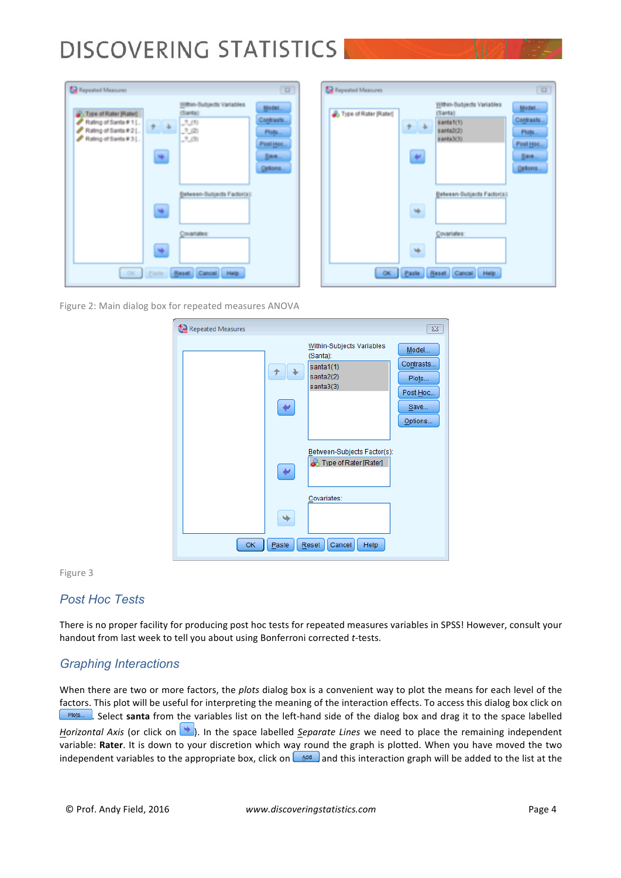| <b>Zal Repeated Measures</b>                                                                       |         |                                                                  | 百官                                                          |  |  |  |
|----------------------------------------------------------------------------------------------------|---------|------------------------------------------------------------------|-------------------------------------------------------------|--|--|--|
| . Type of Rater [Rater]<br>Rating of Santa # 1 []<br>Rating of Santa # 2 [<br>Rating of Santa # 31 | ₩       | Within-Subjects Variables<br>(Santa):<br>$-7(1)$<br>7(2)<br>7.01 | Model<br>Contrasts<br>Plots<br>Post Hoc.<br>Save<br>Options |  |  |  |
|                                                                                                    | ×.<br>唾 | Between-Bubjects Factor(s):<br>Covariates:                       |                                                             |  |  |  |
| Reset Cancel<br>OK.<br>Paste.<br>Help.                                                             |         |                                                                  |                                                             |  |  |  |

| . Type of Rater (Rater) | $\rightarrow$<br>u | Within-Subjects Variables<br>(Santa):<br>santa1(1)<br>santa2(2)<br>santa3(3) | Model<br>Contrasts<br>Piota<br>Post Hoc.<br>Save<br>Options |
|-------------------------|--------------------|------------------------------------------------------------------------------|-------------------------------------------------------------|
|                         | ÷                  | Between-Subjects Factor(s):                                                  |                                                             |
|                         | ₩                  | Covariates:                                                                  |                                                             |

Figure 2: Main dialog box for repeated measures ANOVA



#### Figure 3

#### *Post Hoc Tests*

There is no proper facility for producing post hoc tests for repeated measures variables in SPSS! However, consult your handout from last week to tell you about using Bonferroni corrected *t*-tests.

#### *Graphing Interactions*

When there are two or more factors, the *plots* dialog box is a convenient way to plot the means for each level of the factors. This plot will be useful for interpreting the meaning of the interaction effects. To access this dialog box click on **Plots...** Select santa from the variables list on the left-hand side of the dialog box and drag it to the space labelled *Horizontal Axis* (or click on **)**. In the space labelled *Separate Lines* we need to place the remaining independent variable: Rater. It is down to your discretion which way round the graph is plotted. When you have moved the two independent variables to the appropriate box, click on  $\Box$  and this interaction graph will be added to the list at the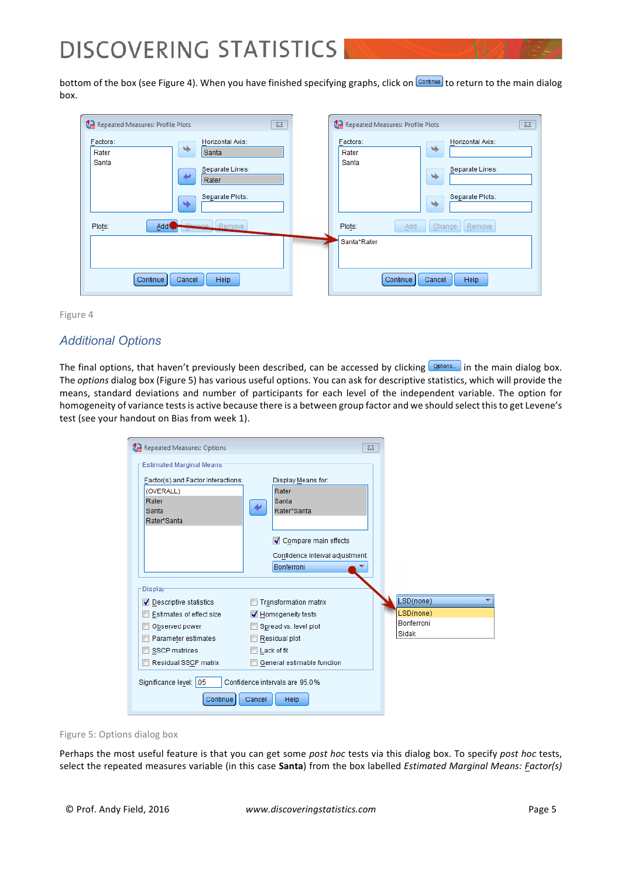bottom of the box (see Figure 4). When you have finished specifying graphs, click on **Continue** to return to the main dialog box.

| Repeated Measures: Profile Plots                                                                                 | Repeated Measures: Profile Plots                                                                                |
|------------------------------------------------------------------------------------------------------------------|-----------------------------------------------------------------------------------------------------------------|
| $\Sigma$                                                                                                         | $\Sigma$                                                                                                        |
| Horizontal Axis:<br>Factors:<br>٠<br>Santa<br>Rater<br>Santa<br>Separate Lines:<br>Rater<br>Separate Plots:<br>٠ | Factors:<br>Horizontal Axis:<br>⇒<br>Rater<br>Santa<br>Separate Lines:<br>٠<br>Separate Plots:<br>$\rightarrow$ |
| Chonge Remove                                                                                                    | Add                                                                                                             |
| Plots:                                                                                                           | Plots:                                                                                                          |
| Add (                                                                                                            | Change                                                                                                          |
| <b>Separate</b>                                                                                                  | Remove                                                                                                          |
| Continue<br>Help<br>Cancel                                                                                       | Santa*Rater<br>Help<br>Continue<br>Cancel                                                                       |



### *Additional Options*

The final options, that haven't previously been described, can be accessed by clicking **Options.** in the main dialog box. The *options* dialog box (Figure 5) has various useful options. You can ask for descriptive statistics, which will provide the means, standard deviations and number of participants for each level of the independent variable. The option for homogeneity of variance tests is active because there is a between group factor and we should select this to get Levene's test (see your handout on Bias from week 1).

| Repeated Measures: Options                                                                                                                              | $\Sigma$                                                                                                                                                |                                                      |
|---------------------------------------------------------------------------------------------------------------------------------------------------------|---------------------------------------------------------------------------------------------------------------------------------------------------------|------------------------------------------------------|
| Estimated Marginal Means:<br>Factor(s) and Factor Interactions:<br>(OVERALL)<br>Rater<br>Santa<br>Rater*Santa                                           | Display Means for:<br>Rater<br>Santa<br>Rater*Santa<br>Compare main effects                                                                             |                                                      |
|                                                                                                                                                         | Confidence interval adjustment:<br>Bonferroni                                                                                                           |                                                      |
| Display-<br>Descriptive statistics<br>Estimates of effect size<br>Observed power<br>Parameter estimates<br><b>SSCP</b> matrices<br>Residual SSCP matrix | <b>Transformation matrix</b><br>Homogeneity tests<br>Spread vs. level plot<br>F<br>Residual plot<br>Lack of fit<br>E<br>General estimable function<br>E | LSD(none)<br>LSD(none)<br><b>Bonferroni</b><br>Sidak |
| Significance level: 05<br>Continue                                                                                                                      | Confidence intervals are 95.0%<br>Cancel<br>Help                                                                                                        |                                                      |

Figure 5: Options dialog box

Perhaps the most useful feature is that you can get some post hoc tests via this dialog box. To specify post hoc tests, select the repeated measures variable (in this case Santa) from the box labelled *Estimated Marginal Means: Factor(s)*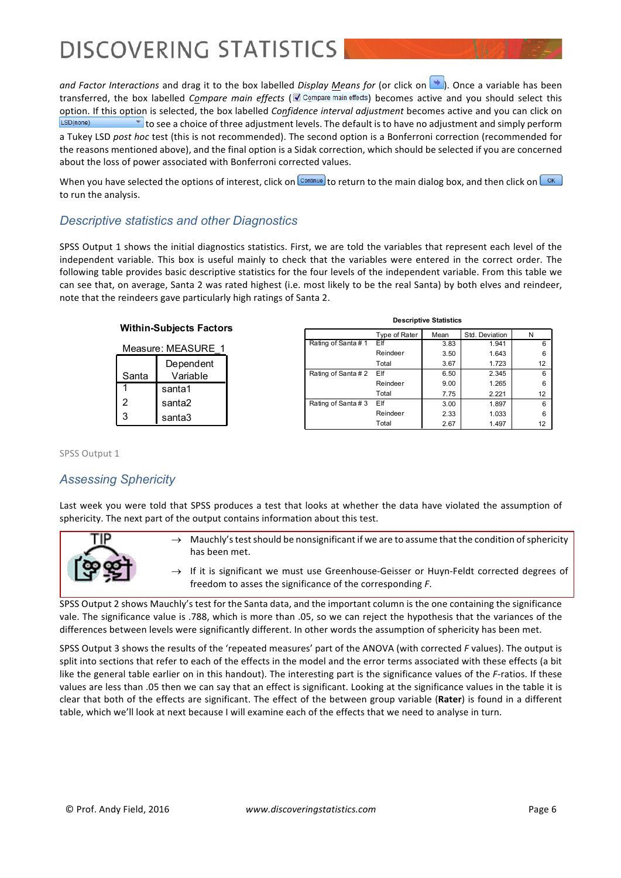*and Factor Interactions* and drag it to the box labelled *Display Means for* (or click on **)**. Once a variable has been transferred, the box labelled *Compare main effects* ( **a** Compare main effects) becomes active and you should select this option. If this option is selected, the box labelled *Confidence interval adjustment* becomes active and you can click on  $\blacktriangleright$  to see a choice of three adjustment levels. The default is to have no adjustment and simply perform LSD(none) a Tukey LSD post hoc test (this is not recommended). The second option is a Bonferroni correction (recommended for the reasons mentioned above), and the final option is a Sidak correction, which should be selected if you are concerned about the loss of power associated with Bonferroni corrected values.

When you have selected the options of interest, click on  $\frac{\text{Countimize}}{\text{tot}}$  to return to the main dialog box, and then click on  $\frac{\text{OK}}{\text{tot}}$ to run the analysis.

### *Descriptive statistics and other Diagnostics*

SPSS Output 1 shows the initial diagnostics statistics. First, we are told the variables that represent each level of the independent variable. This box is useful mainly to check that the variables were entered in the correct order. The following table provides basic descriptive statistics for the four levels of the independent variable. From this table we can see that, on average, Santa 2 was rated highest (i.e. most likely to be the real Santa) by both elves and reindeer, note that the reindeers gave particularly high ratings of Santa 2.

| Within-Subjects Factors |        |  |  |  |  |
|-------------------------|--------|--|--|--|--|
| Measure: MEASURE        |        |  |  |  |  |
| Dependent               |        |  |  |  |  |
| Variable<br>Santa       |        |  |  |  |  |
| santa1                  |        |  |  |  |  |
| $\overline{2}$          | santa2 |  |  |  |  |
| 3                       | santa3 |  |  |  |  |

| <b>Descriptive Statistics</b> |               |      |                |    |  |  |
|-------------------------------|---------------|------|----------------|----|--|--|
|                               | Type of Rater | Mean | Std. Deviation | N  |  |  |
| Rating of Santa#1             | Elf           | 3.83 | 1.941          | 6  |  |  |
|                               | Reindeer      | 3.50 | 1.643          | 6  |  |  |
|                               | Total         | 3.67 | 1.723          | 12 |  |  |
| Rating of Santa#2             | Elf           | 6.50 | 2.345          | 6  |  |  |
|                               | Reindeer      | 9.00 | 1.265          | 6  |  |  |
|                               | Total         | 7.75 | 2.221          | 12 |  |  |
| Rating of Santa#3             | Elf           | 3.00 | 1.897          | 6  |  |  |
|                               | Reindeer      | 2.33 | 1.033          | 6  |  |  |
|                               | Total         | 2.67 | 1.497          | 12 |  |  |

SPSS Output 1

### *Assessing Sphericity*

Last week you were told that SPSS produces a test that looks at whether the data have violated the assumption of sphericity. The next part of the output contains information about this test.



- $\rightarrow$  Mauchly's test should be nonsignificant if we are to assume that the condition of sphericity has been met.
- If it is significant we must use Greenhouse-Geisser or Huyn-Feldt corrected degrees of freedom to asses the significance of the corresponding *F*.

SPSS Output 2 shows Mauchly's test for the Santa data, and the important column is the one containing the significance vale. The significance value is .788, which is more than .05, so we can reject the hypothesis that the variances of the differences between levels were significantly different. In other words the assumption of sphericity has been met.

SPSS Output 3 shows the results of the 'repeated measures' part of the ANOVA (with corrected *F* values). The output is split into sections that refer to each of the effects in the model and the error terms associated with these effects (a bit like the general table earlier on in this handout). The interesting part is the significance values of the *F*-ratios. If these values are less than .05 then we can say that an effect is significant. Looking at the significance values in the table it is clear that both of the effects are significant. The effect of the between group variable (Rater) is found in a different table, which we'll look at next because I will examine each of the effects that we need to analyse in turn.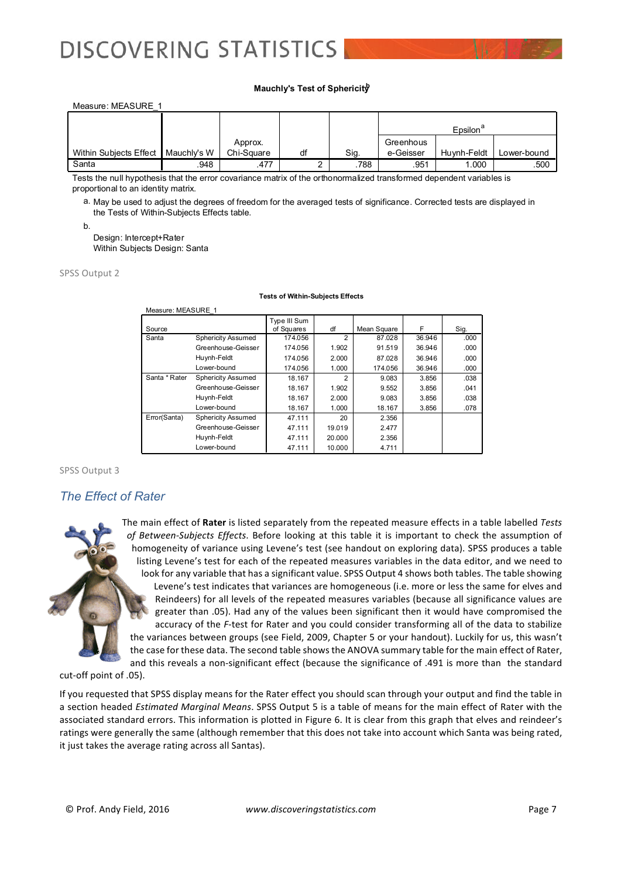#### **Mauchly's Test of Sphericityb**

| Measure: MEASURE 1                   |      |            |    |      |           |                      |             |
|--------------------------------------|------|------------|----|------|-----------|----------------------|-------------|
|                                      |      |            |    |      |           |                      |             |
|                                      |      |            |    |      |           | $E$ psilon $\degree$ |             |
|                                      |      | Approx.    |    |      | Greenhous |                      |             |
| Within Subjects Effect   Mauchly's W |      | Chi-Square | df | Sig. | e-Geisser | Huvnh-Feldt          | Lower-bound |
| Santa                                | .948 | .477       |    | .788 | .951      | 1.000                | .500        |

Tests the null hypothesis that the error covariance matrix of the orthonormalized transformed dependent variables is proportional to an identity matrix.

a. May be used to adjust the degrees of freedom for the averaged tests of significance. Corrected tests are displayed in the Tests of Within-Subjects Effects table.

b.

Design: Intercept+Rater Within Subjects Design: Santa

SPSS Output 2

#### **Tests of Within-Subjects Effects**

| Measure: MEASURE 1 |                           |                            |                |             |        |      |
|--------------------|---------------------------|----------------------------|----------------|-------------|--------|------|
| Source             |                           | Type III Sum<br>of Squares | df             | Mean Square | F      | Sig. |
| Santa              | <b>Sphericity Assumed</b> | 174.056                    | 2              | 87.028      | 36.946 | .000 |
|                    | Greenhouse-Geisser        | 174.056                    | 1.902          | 91.519      | 36.946 | .000 |
|                    | Huynh-Feldt               | 174.056                    | 2.000          | 87.028      | 36.946 | .000 |
|                    | Lower-bound               | 174.056                    | 1.000          | 174.056     | 36.946 | .000 |
| Santa * Rater      | <b>Sphericity Assumed</b> | 18.167                     | $\mathfrak{p}$ | 9.083       | 3.856  | .038 |
|                    | Greenhouse-Geisser        | 18.167                     | 1.902          | 9.552       | 3.856  | .041 |
|                    | Huynh-Feldt               | 18.167                     | 2.000          | 9.083       | 3.856  | .038 |
|                    | Lower-bound               | 18.167                     | 1.000          | 18.167      | 3.856  | .078 |
| Error(Santa)       | <b>Sphericity Assumed</b> | 47.111                     | 20             | 2.356       |        |      |
|                    | Greenhouse-Geisser        | 47.111                     | 19.019         | 2.477       |        |      |
|                    | Huynh-Feldt               | 47.111                     | 20,000         | 2.356       |        |      |
|                    | Lower-bound               | 47.111                     | 10.000         | 4.711       |        |      |

#### SPSS Output 3

#### *The Effect of Rater*



The main effect of Rater is listed separately from the repeated measure effects in a table labelled Tests of Between-Subjects Effects. Before looking at this table it is important to check the assumption of homogeneity of variance using Levene's test (see handout on exploring data). SPSS produces a table listing Levene's test for each of the repeated measures variables in the data editor, and we need to look for any variable that has a significant value. SPSS Output 4 shows both tables. The table showing Levene's test indicates that variances are homogeneous (i.e. more or less the same for elves and Reindeers) for all levels of the repeated measures variables (because all significance values are greater than .05). Had any of the values been significant then it would have compromised the accuracy of the *F*-test for Rater and you could consider transforming all of the data to stabilize the variances between groups (see Field, 2009, Chapter 5 or your handout). Luckily for us, this wasn't the case for these data. The second table shows the ANOVA summary table for the main effect of Rater, and this reveals a non-significant effect (because the significance of .491 is more than the standard

cut-off point of .05).

If you requested that SPSS display means for the Rater effect you should scan through your output and find the table in a section headed *Estimated Marginal Means*. SPSS Output 5 is a table of means for the main effect of Rater with the associated standard errors. This information is plotted in Figure 6. It is clear from this graph that elves and reindeer's ratings were generally the same (although remember that this does not take into account which Santa was being rated, it just takes the average rating across all Santas).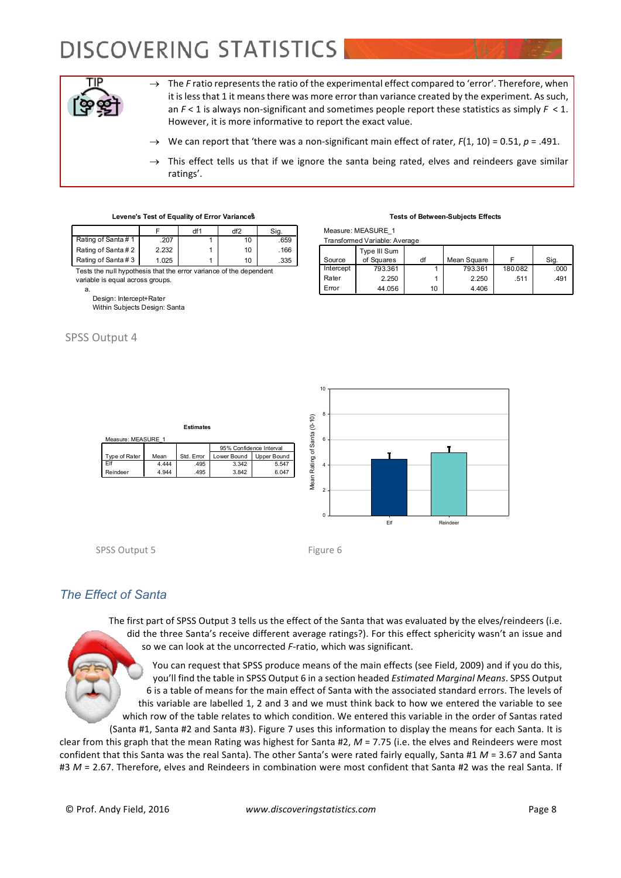

 $\rightarrow$  The *F* ratio represents the ratio of the experimental effect compared to 'error'. Therefore, when it is less that 1 it means there was more error than variance created by the experiment. As such, an  $F < 1$  is always non-significant and sometimes people report these statistics as simply  $F < 1$ . However, it is more informative to report the exact value.

- We can report that 'there was a non-significant main effect of rater,  $F(1, 10) = 0.51$ ,  $p = .491$ .
- $\rightarrow$  This effect tells us that if we ignore the santa being rated, elves and reindeers gave similar ratings'.

| Levene's Test of Equality of Error Variances |  |
|----------------------------------------------|--|
|----------------------------------------------|--|

|                                                                                                        |       | df1 | df2 | Sig. |  |  |
|--------------------------------------------------------------------------------------------------------|-------|-----|-----|------|--|--|
| Rating of Santa#1                                                                                      | .207  |     | 10  | .659 |  |  |
| Rating of Santa#2                                                                                      | 2.232 |     | 10  | .166 |  |  |
| Rating of Santa#3                                                                                      | 1.025 |     | 10  | .335 |  |  |
| Tests the null hypothesis that the error variance of the dependent<br>variable is equal across groups. |       |     |     |      |  |  |

**Estimate** 

1ean Std. Error Lower Bound Upper Bound<br>
4.444 .495 3.342 5.547<br>
4.944 .495 3.842 6.047 4.944 .495 3.842 6.047

**Upper Boun** 

95% Confidence Interva

a.

Design: Intercept+Rater

Within Subjects Design: Santa

#### SPSS Output 4

#### **Tests of Between-Subjects Effects**

Measure: MEASURE\_1

| Transformed Variable: Average |                            |    |             |         |      |  |  |
|-------------------------------|----------------------------|----|-------------|---------|------|--|--|
| Source                        | Type III Sum<br>of Squares | df | Mean Square |         | Sig. |  |  |
| Intercept                     | 793.361                    |    | 793.361     | 180.082 | .000 |  |  |
| Rater                         | 2.250                      |    | 2.250       | .511    | .491 |  |  |
| Error                         | 44.056                     | 10 | 4.406       |         |      |  |  |



SPSS Output 5 Figure 6

Measure: MEASURE\_1

Type of Rater Elf Reinde

### *The Effect of Santa*

The first part of SPSS Output 3 tells us the effect of the Santa that was evaluated by the elves/reindeers (i.e. did the three Santa's receive different average ratings?). For this effect sphericity wasn't an issue and so we can look at the uncorrected *F*-ratio, which was significant.

You can request that SPSS produce means of the main effects (see Field, 2009) and if you do this, you'll find the table in SPSS Output 6 in a section headed *Estimated Marginal Means*. SPSS Output 6 is a table of means for the main effect of Santa with the associated standard errors. The levels of this variable are labelled 1, 2 and 3 and we must think back to how we entered the variable to see which row of the table relates to which condition. We entered this variable in the order of Santas rated

(Santa #1, Santa #2 and Santa #3). Figure 7 uses this information to display the means for each Santa. It is clear from this graph that the mean Rating was highest for Santa #2,  $M = 7.75$  (i.e. the elves and Reindeers were most confident that this Santa was the real Santa). The other Santa's were rated fairly equally, Santa #1  $M = 3.67$  and Santa #3 M = 2.67. Therefore, elves and Reindeers in combination were most confident that Santa #2 was the real Santa. If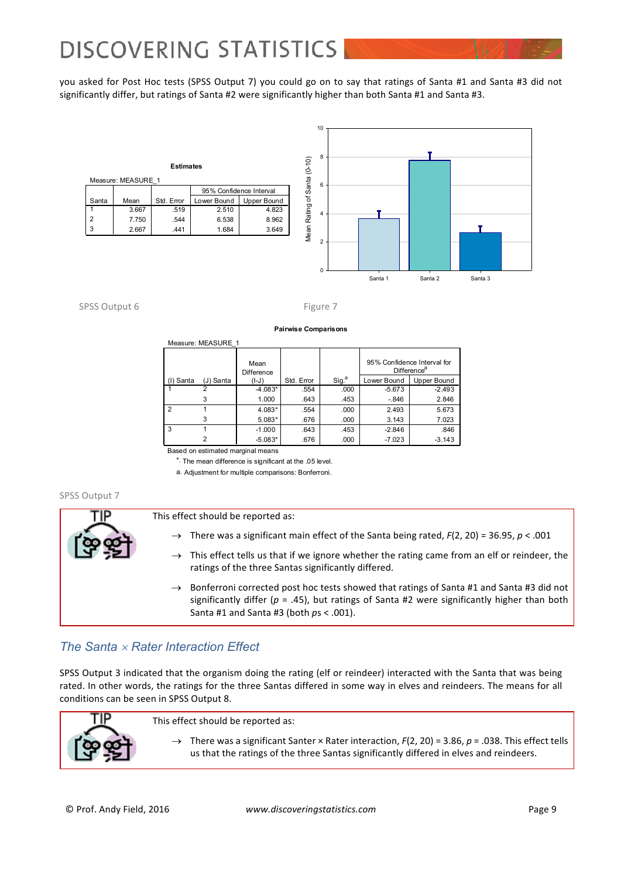you asked for Post Hoc tests (SPSS Output 7) you could go on to say that ratings of Santa #1 and Santa #3 did not significantly differ, but ratings of Santa #2 were significantly higher than both Santa #1 and Santa #3.

| <b>Estimates</b><br>Measure: MEASURE 1 |       |            |                            |       |  |  |  |
|----------------------------------------|-------|------------|----------------------------|-------|--|--|--|
|                                        |       |            | 95% Confidence Interval    |       |  |  |  |
| Santa                                  | Mean  | Std. Error | Lower Bound<br>Upper Bound |       |  |  |  |
|                                        | 3.667 | .519       | 2.510                      | 4.823 |  |  |  |
| 2                                      | 7.750 | .544       | 6.538                      | 8.962 |  |  |  |
|                                        | 2.667 | .441       | 1.684                      | 3.649 |  |  |  |



#### SPSS Output 6 Figure 7

# **Pairwise Comparisons**

|               |           | Mean<br>Difference |            |                   | 95% Confidence Interval for | Difference <sup>®</sup> |
|---------------|-----------|--------------------|------------|-------------------|-----------------------------|-------------------------|
| (I) Santa     | (J) Santa | (I-J)              | Std. Error | Sig. <sup>a</sup> | Lower Bound                 | Upper Bound             |
|               |           | $-4.083*$          | .554       | .000              | $-5.673$                    | $-2.493$                |
|               |           | 1.000              | .643       | .453              | $-.846$                     | 2.846                   |
| $\mathcal{P}$ |           | 4.083*             | .554       | .000              | 2.493                       | 5.673                   |
|               | 3         | $5.083*$           | .676       | .000              | 3.143                       | 7.023                   |
| -3            |           | $-1.000$           | .643       | .453              | $-2.846$                    | .846                    |
|               |           | $-5.083*$          | .676       | .000              | $-7.023$                    | $-3.143$                |

Based on estimated marginal means

Measure: MEASURE\_1

\*. The mean difference is significant at the .05 level.

a. Adjustment for multiple comparisons: Bonferroni.

#### SPSS Output 7



- $\rightarrow$  There was a significant main effect of the Santa being rated,  $F(2, 20) = 36.95$ ,  $p < .001$
- $\rightarrow$  This effect tells us that if we ignore whether the rating came from an elf or reindeer, the ratings of the three Santas significantly differed.
- $\rightarrow$  Bonferroni corrected post hoc tests showed that ratings of Santa #1 and Santa #3 did not significantly differ ( $p = .45$ ), but ratings of Santa #2 were significantly higher than both Santa #1 and Santa #3 (both  $ps < .001$ ).

### *The Santa* ´ *Rater Interaction Effect*

SPSS Output 3 indicated that the organism doing the rating (elf or reindeer) interacted with the Santa that was being rated. In other words, the ratings for the three Santas differed in some way in elves and reindeers. The means for all conditions can be seen in SPSS Output 8.

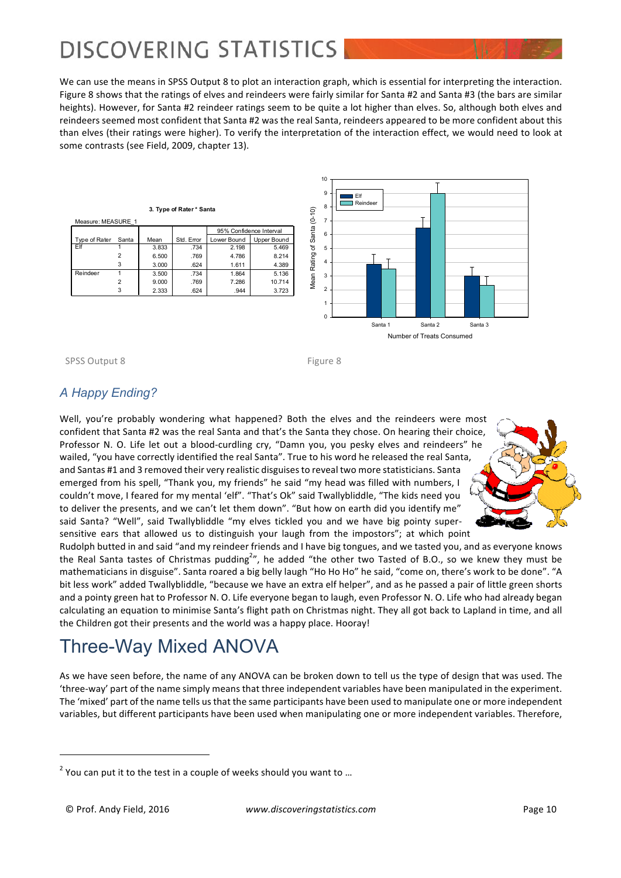We can use the means in SPSS Output 8 to plot an interaction graph, which is essential for interpreting the interaction. Figure 8 shows that the ratings of elves and reindeers were fairly similar for Santa #2 and Santa #3 (the bars are similar heights). However, for Santa #2 reindeer ratings seem to be quite a lot higher than elves. So, although both elves and reindeers seemed most confident that Santa #2 was the real Santa, reindeers appeared to be more confident about this than elves (their ratings were higher). To verify the interpretation of the interaction effect, we would need to look at some contrasts (see Field, 2009, chapter 13).

10



Number of Treats Consumed

SPSS Output 8 Figure 8

### *A Happy Ending?*

Well, you're probably wondering what happened? Both the elves and the reindeers were most confident that Santa #2 was the real Santa and that's the Santa they chose. On hearing their choice, Professor N. O. Life let out a blood-curdling cry, "Damn you, you pesky elves and reindeers" he wailed, "you have correctly identified the real Santa". True to his word he released the real Santa, and Santas #1 and 3 removed their very realistic disguises to reveal two more statisticians. Santa emerged from his spell, "Thank you, my friends" he said "my head was filled with numbers, I couldn't move, I feared for my mental 'elf". "That's Ok" said Twallybliddle, "The kids need you to deliver the presents, and we can't let them down". "But how on earth did you identify me" said Santa? "Well", said Twallybliddle "my elves tickled you and we have big pointy supersensitive ears that allowed us to distinguish your laugh from the impostors"; at which point



Rudolph butted in and said "and my reindeer friends and I have big tongues, and we tasted you, and as everyone knows the Real Santa tastes of Christmas pudding<sup>2</sup>", he added "the other two Tasted of B.O., so we knew they must be mathematicians in disguise". Santa roared a big belly laugh "Ho Ho Ho" he said, "come on, there's work to be done". "A bit less work" added Twallybliddle, "because we have an extra elf helper", and as he passed a pair of little green shorts and a pointy green hat to Professor N. O. Life everyone began to laugh, even Professor N. O. Life who had already began calculating an equation to minimise Santa's flight path on Christmas night. They all got back to Lapland in time, and all the Children got their presents and the world was a happy place. Hooray!

### Three-Way Mixed ANOVA

As we have seen before, the name of any ANOVA can be broken down to tell us the type of design that was used. The 'three-way' part of the name simply means that three independent variables have been manipulated in the experiment. The 'mixed' part of the name tells us that the same participants have been used to manipulate one or more independent variables, but different participants have been used when manipulating one or more independent variables. Therefore,

 

 $2$  You can put it to the test in a couple of weeks should you want to ...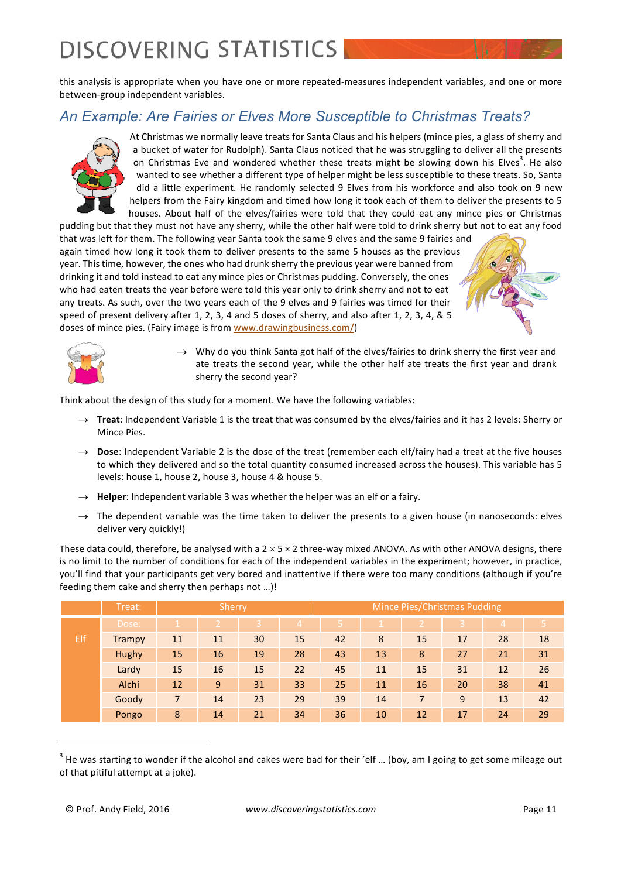this analysis is appropriate when you have one or more repeated-measures independent variables, and one or more between-group independent variables.

### *An Example: Are Fairies or Elves More Susceptible to Christmas Treats?*



At Christmas we normally leave treats for Santa Claus and his helpers (mince pies, a glass of sherry and a bucket of water for Rudolph). Santa Claus noticed that he was struggling to deliver all the presents on Christmas Eve and wondered whether these treats might be slowing down his Elves<sup>3</sup>. He also wanted to see whether a different type of helper might be less susceptible to these treats. So, Santa did a little experiment. He randomly selected 9 Elves from his workforce and also took on 9 new helpers from the Fairy kingdom and timed how long it took each of them to deliver the presents to 5 houses. About half of the elves/fairies were told that they could eat any mince pies or Christmas

pudding but that they must not have any sherry, while the other half were told to drink sherry but not to eat any food that was left for them. The following year Santa took the same 9 elves and the same 9 fairies and again timed how long it took them to deliver presents to the same 5 houses as the previous year. This time, however, the ones who had drunk sherry the previous year were banned from drinking it and told instead to eat any mince pies or Christmas pudding. Conversely, the ones who had eaten treats the year before were told this year only to drink sherry and not to eat any treats. As such, over the two years each of the 9 elves and 9 fairies was timed for their speed of present delivery after 1, 2, 3, 4 and 5 doses of sherry, and also after 1, 2, 3, 4, & 5 doses of mince pies. (Fairy image is from www.drawingbusiness.com/)



 $\rightarrow$  Why do you think Santa got half of the elves/fairies to drink sherry the first year and ate treats the second year, while the other half ate treats the first year and drank sherry the second year?

Think about the design of this study for a moment. We have the following variables:

- $\rightarrow$  **Treat**: Independent Variable 1 is the treat that was consumed by the elves/fairies and it has 2 levels: Sherry or Mince Pies.
- $\rightarrow$  **Dose**: Independent Variable 2 is the dose of the treat (remember each elf/fairy had a treat at the five houses to which they delivered and so the total quantity consumed increased across the houses). This variable has 5 levels: house 1, house 2, house 3, house 4 & house 5.
- $\rightarrow$  **Helper**: Independent variable 3 was whether the helper was an elf or a fairy.
- $\rightarrow$  The dependent variable was the time taken to deliver the presents to a given house (in nanoseconds: elves deliver very quickly!)

These data could, therefore, be analysed with a  $2 \times 5 \times 2$  three-way mixed ANOVA. As with other ANOVA designs, there is no limit to the number of conditions for each of the independent variables in the experiment; however, in practice, you'll find that your participants get very bored and inattentive if there were too many conditions (although if you're feeding them cake and sherry then perhaps not ...)!

|     | Treat: |              | Sherry |                |                |    |    |                | Mince Pies/Christmas Pudding |    |    |
|-----|--------|--------------|--------|----------------|----------------|----|----|----------------|------------------------------|----|----|
|     | Dose:  | $\mathbf{1}$ | 2      | $\overline{3}$ | $\overline{4}$ | -5 |    |                |                              | 4  | 5. |
| Elf | Trampy | 11           | 11     | 30             | 15             | 42 | 8  | 15             | 17                           | 28 | 18 |
|     | Hughy  | 15           | 16     | 19             | 28             | 43 | 13 | 8              | 27                           | 21 | 31 |
|     | Lardy  | 15           | 16     | 15             | 22             | 45 | 11 | 15             | 31                           | 12 | 26 |
|     | Alchi  | 12           | 9      | 31             | 33             | 25 | 11 | 16             | 20                           | 38 | 41 |
|     | Goody  | 7            | 14     | 23             | 29             | 39 | 14 | $\overline{7}$ | 9                            | 13 | 42 |
|     | Pongo  | 8            | 14     | 21             | 34             | 36 | 10 | 12             | 17                           | 24 | 29 |

 $3$  He was starting to wonder if the alcohol and cakes were bad for their 'elf ... (boy, am I going to get some mileage out of that pitiful attempt at a joke).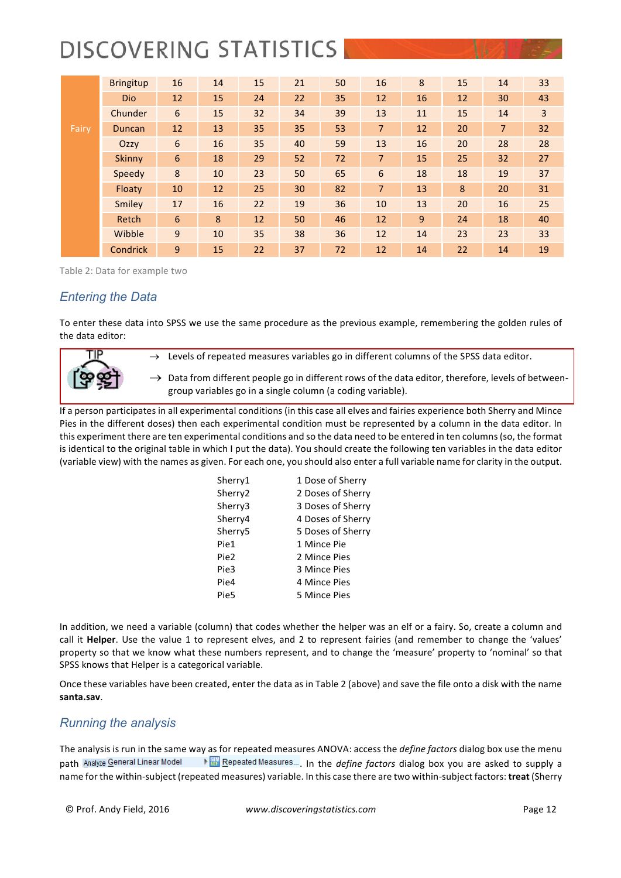|       | <b>Bringitup</b> | 16               | 14 | 15 | 21 | 50 | 16             | 8  | 15 | 14             | 33             |
|-------|------------------|------------------|----|----|----|----|----------------|----|----|----------------|----------------|
|       | Dio              | 12               | 15 | 24 | 22 | 35 | 12             | 16 | 12 | 30             | 43             |
|       | Chunder          | 6                | 15 | 32 | 34 | 39 | 13             | 11 | 15 | 14             | $\overline{3}$ |
| Fairy | Duncan           | 12               | 13 | 35 | 35 | 53 | $\overline{7}$ | 12 | 20 | $\overline{7}$ | 32             |
|       | Ozzy             | $\boldsymbol{6}$ | 16 | 35 | 40 | 59 | 13             | 16 | 20 | 28             | 28             |
|       | <b>Skinny</b>    | 6                | 18 | 29 | 52 | 72 | $\overline{7}$ | 15 | 25 | 32             | 27             |
|       | Speedy           | 8                | 10 | 23 | 50 | 65 | 6              | 18 | 18 | 19             | 37             |
|       | Floaty           | 10               | 12 | 25 | 30 | 82 | $\overline{7}$ | 13 | 8  | 20             | 31             |
|       | Smiley           | 17               | 16 | 22 | 19 | 36 | 10             | 13 | 20 | 16             | 25             |
|       | Retch            | 6                | 8  | 12 | 50 | 46 | 12             | 9  | 24 | 18             | 40             |
|       | Wibble           | 9                | 10 | 35 | 38 | 36 | 12             | 14 | 23 | 23             | 33             |
|       | Condrick         | 9                | 15 | 22 | 37 | 72 | 12             | 14 | 22 | 14             | 19             |

Table 2: Data for example two

### *Entering the Data*

To enter these data into SPSS we use the same procedure as the previous example, remembering the golden rules of the data editor:





 $\rightarrow$  Data from different people go in different rows of the data editor, therefore, levels of betweengroup variables go in a single column (a coding variable).

If a person participates in all experimental conditions (in this case all elves and fairies experience both Sherry and Mince Pies in the different doses) then each experimental condition must be represented by a column in the data editor. In this experiment there are ten experimental conditions and so the data need to be entered in ten columns (so, the format is identical to the original table in which I put the data). You should create the following ten variables in the data editor (variable view) with the names as given. For each one, you should also enter a full variable name for clarity in the output.

| Sherry1             | 1 Dose of Sherry  |
|---------------------|-------------------|
| Sherry <sub>2</sub> | 2 Doses of Sherry |
| Sherry3             | 3 Doses of Sherry |
| Sherry4             | 4 Doses of Sherry |
| Sherry5             | 5 Doses of Sherry |
| Pie1                | 1 Mince Pie       |
| Pie2                | 2 Mince Pies      |
| Pie3                | 3 Mince Pies      |
| Pie4                | 4 Mince Pies      |
| Pie5                | 5 Mince Pies      |

In addition, we need a variable (column) that codes whether the helper was an elf or a fairy. So, create a column and call it **Helper**. Use the value 1 to represent elves, and 2 to represent fairies (and remember to change the 'values' property so that we know what these numbers represent, and to change the 'measure' property to 'nominal' so that SPSS knows that Helper is a categorical variable.

Once these variables have been created, enter the data as in Table 2 (above) and save the file onto a disk with the name **santa.sav**.

#### *Running the analysis*

The analysis is run in the same way as for repeated measures ANOVA: access the *define factors* dialog box use the menu path Analyze General Linear Model \\\espeated Measures..., In the *define factors* dialog box you are asked to supply a name for the within-subject (repeated measures) variable. In this case there are two within-subject factors: treat (Sherry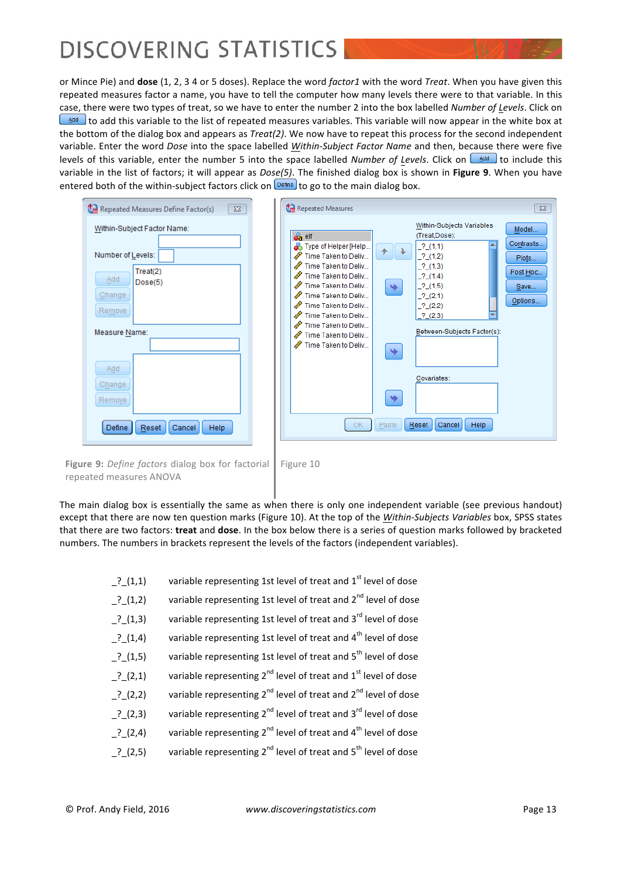or Mince Pie) and **dose** (1, 2, 3 4 or 5 doses). Replace the word *factor1* with the word *Treat*. When you have given this repeated measures factor a name, you have to tell the computer how many levels there were to that variable. In this case, there were two types of treat, so we have to enter the number 2 into the box labelled *Number of Levels*. Click on  $\frac{\Delta d d}{d}$  to add this variable to the list of repeated measures variables. This variable will now appear in the white box at the bottom of the dialog box and appears as *Treat(2)*. We now have to repeat this process for the second independent variable. Enter the word *Dose* into the space labelled Within-Subject Factor Name and then, because there were five levels of this variable, enter the number 5 into the space labelled *Number of Levels*. Click on the ddd to include this variable in the list of factors; it will appear as *Dose(5)*. The finished dialog box is shown in **Figure 9**. When you have entered both of the within-subject factors click on  $\sqrt{Define}$  to go to the main dialog box.



**Figure 9:** *Define factors* dialog box for factorial repeated measures ANOVA

Figure 10

The main dialog box is essentially the same as when there is only one independent variable (see previous handout) except that there are now ten question marks (Figure 10). At the top of the *Within-Subjects Variables* box, SPSS states that there are two factors: treat and dose. In the box below there is a series of question marks followed by bracketed numbers. The numbers in brackets represent the levels of the factors (independent variables).

| $.^{?}$ (1,1) | variable representing 1st level of treat and 1 <sup>st</sup> level of dose             |
|---------------|----------------------------------------------------------------------------------------|
| $_$ ? (1,2)   | variable representing 1st level of treat and 2 <sup>nd</sup> level of dose             |
| $^{2}$ (1,3)  | variable representing 1st level of treat and 3 <sup>rd</sup> level of dose             |
| $.^{?}$ (1,4) | variable representing 1st level of treat and 4 <sup>th</sup> level of dose             |
| $_$ ? (1,5)   | variable representing 1st level of treat and 5 <sup>th</sup> level of dose             |
| $^{2}$ (2,1)  | variable representing $2^{nd}$ level of treat and $1^{st}$ level of dose               |
| $^{2}$ (2,2)  | variable representing 2 <sup>nd</sup> level of treat and 2 <sup>nd</sup> level of dose |
| $^{2}$ (2,3)  | variable representing 2 <sup>nd</sup> level of treat and 3 <sup>rd</sup> level of dose |
| $2^{2}$ (2,4) | variable representing $2^{nd}$ level of treat and $4^{th}$ level of dose               |
| $2^{2}$ (2,5) | variable representing $2^{nd}$ level of treat and $5^{th}$ level of dose               |
|               |                                                                                        |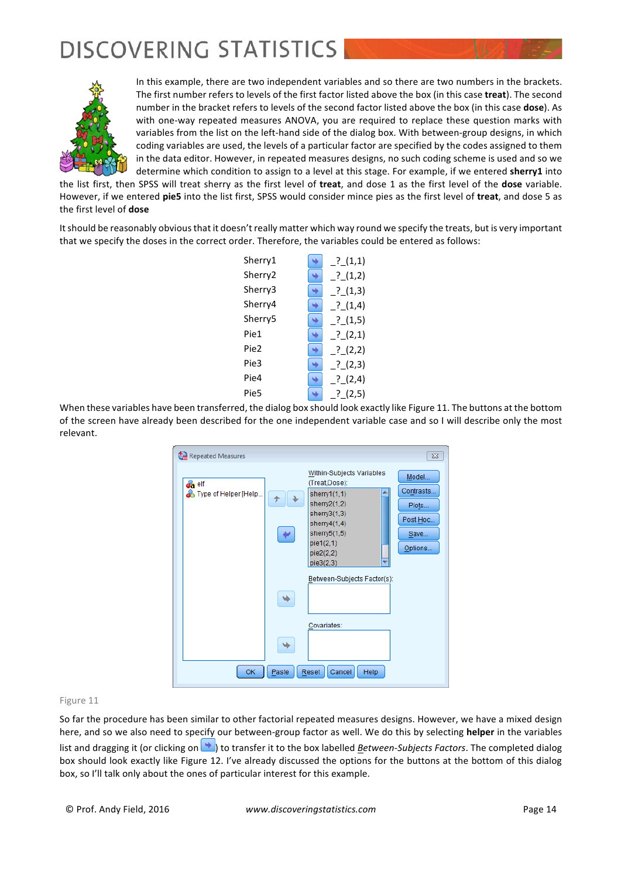

In this example, there are two independent variables and so there are two numbers in the brackets. The first number refers to levels of the first factor listed above the box (in this case treat). The second number in the bracket refers to levels of the second factor listed above the box (in this case **dose**). As with one-way repeated measures ANOVA, you are required to replace these question marks with variables from the list on the left-hand side of the dialog box. With between-group designs, in which coding variables are used, the levels of a particular factor are specified by the codes assigned to them in the data editor. However, in repeated measures designs, no such coding scheme is used and so we determine which condition to assign to a level at this stage. For example, if we entered **sherry1** into

the list first, then SPSS will treat sherry as the first level of treat, and dose 1 as the first level of the **dose** variable. However, if we entered pie5 into the list first, SPSS would consider mince pies as the first level of treat, and dose 5 as the first level of **dose** 

It should be reasonably obvious that it doesn't really matter which way round we specify the treats, but is very important that we specify the doses in the correct order. Therefore, the variables could be entered as follows:

| Sherry1 | .2(1,1)          |
|---------|------------------|
| Sherry2 | $_$ ? $(1,2)$    |
| Sherry3 | $_{2}^{2}$ (1,3) |
| Sherry4 | $.^{?}$ (1,4)    |
| Sherry5 | $.^{?}(1,5)$     |
| Pie1    | $.^{?}(2,1)$     |
| Pie2    | $^{2}$ (2,2)     |
| Pie3    | ? (2,3)          |
| Pie4    | ? (2,4)          |
| Pie5    | ? (2,5)          |

When these variables have been transferred, the dialog box should look exactly like Figure 11. The buttons at the bottom of the screen have already been described for the one independent variable case and so I will describe only the most relevant.

| Repeated Measures                                                                                                                                                                                                                                                                                                                                | $\overline{\text{23}}$                                     |
|--------------------------------------------------------------------------------------------------------------------------------------------------------------------------------------------------------------------------------------------------------------------------------------------------------------------------------------------------|------------------------------------------------------------|
| Within-Subjects Variables<br>(Treat,Dose):<br>$\bullet$ <sub>a</sub> elf<br>Type of Helper [Help<br>sherry $1(1,1)$<br>sherry $2(1,2)$<br>sherry $3(1,3)$<br>sherry $4(1,4)$<br>sherry $5(1,5)$<br>pie1(2,1)<br>pie2(2,2)<br>pie3(2,3)<br>Between-Subjects Factor(s):<br>⇒<br>Covariates:<br>٠<br>OK.<br>Paste<br>Cancel<br>Reset<br><b>Help</b> | Model<br>Contrasts<br>Plots<br>Post Hoc<br>Save<br>Options |

#### Figure 11

So far the procedure has been similar to other factorial repeated measures designs. However, we have a mixed design here, and so we also need to specify our between-group factor as well. We do this by selecting **helper** in the variables list and dragging it (or clicking on  $\blacktriangleright$ ) to transfer it to the box labelled *Between-Subjects Factors*. The completed dialog box should look exactly like Figure 12. I've already discussed the options for the buttons at the bottom of this dialog box, so I'll talk only about the ones of particular interest for this example.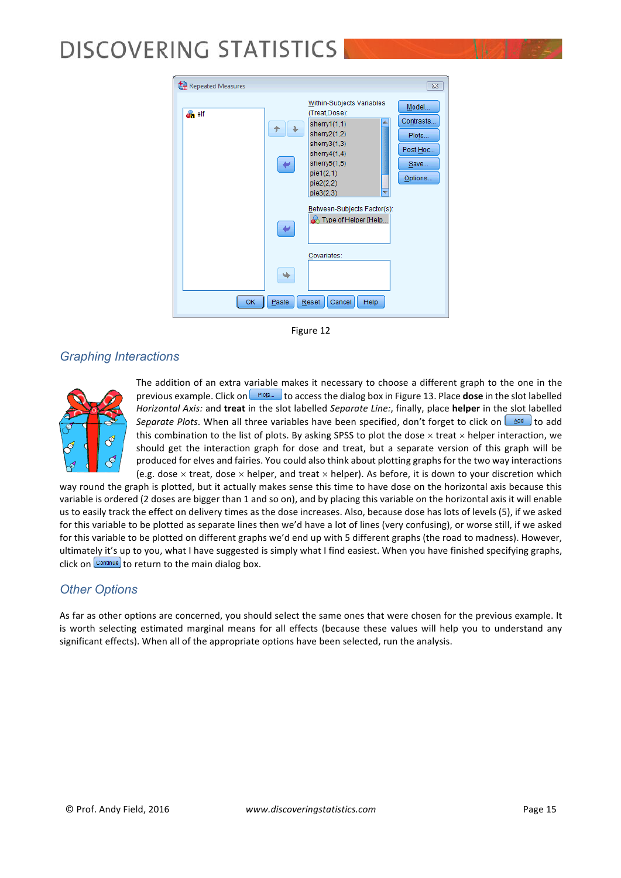| Repeated Measures |            |                                                                                                                                                                                | $\overline{\text{23}}$                                     |
|-------------------|------------|--------------------------------------------------------------------------------------------------------------------------------------------------------------------------------|------------------------------------------------------------|
| <b>on</b> elf     |            | Within-Subjects Variables<br>(Treat,Dose):<br>sherry $1(1,1)$<br>sherry $2(1,2)$<br>sherry $3(1,3)$<br>sherry $4(1,4)$<br>sherry5(1,5)<br>pie 1(2,1)<br>pie2(2,2)<br>pie3(2,3) | Model<br>Contrasts<br>Plots<br>Post Hoc<br>Save<br>Options |
|                   | ↵          | Between-Subjects Factor(s):<br><b>&amp;</b> Type of Helper [Help                                                                                                               |                                                            |
| 0K                | ٠<br>Paste | Covariates:<br>Cancel<br>Help<br>Reset                                                                                                                                         |                                                            |

Figure 12

### *Graphing Interactions*



The addition of an extra variable makes it necessary to choose a different graph to the one in the previous example. Click on  $\left( \frac{Plobs}{P} \right)$  to access the dialog box in Figure 13. Place **dose** in the slot labelled *Horizontal Axis:* and treat in the slot labelled *Separate Line:*, finally, place helper in the slot labelled Separate Plots. When all three variables have been specified, don't forget to click on  $\triangle$ <sup>dd</sup> to add this combination to the list of plots. By asking SPSS to plot the dose  $\times$  treat  $\times$  helper interaction, we should get the interaction graph for dose and treat, but a separate version of this graph will be produced for elves and fairies. You could also think about plotting graphs for the two way interactions (e.g. dose  $\times$  treat, dose  $\times$  helper, and treat  $\times$  helper). As before, it is down to your discretion which

way round the graph is plotted, but it actually makes sense this time to have dose on the horizontal axis because this variable is ordered (2 doses are bigger than 1 and so on), and by placing this variable on the horizontal axis it will enable us to easily track the effect on delivery times as the dose increases. Also, because dose has lots of levels (5), if we asked for this variable to be plotted as separate lines then we'd have a lot of lines (very confusing), or worse still, if we asked for this variable to be plotted on different graphs we'd end up with 5 different graphs (the road to madness). However, ultimately it's up to you, what I have suggested is simply what I find easiest. When you have finished specifying graphs, click on  $\frac{\text{Continue}}{\text{to return}}$  to return to the main dialog box.

### *Other Options*

As far as other options are concerned, you should select the same ones that were chosen for the previous example. It is worth selecting estimated marginal means for all effects (because these values will help you to understand any significant effects). When all of the appropriate options have been selected, run the analysis.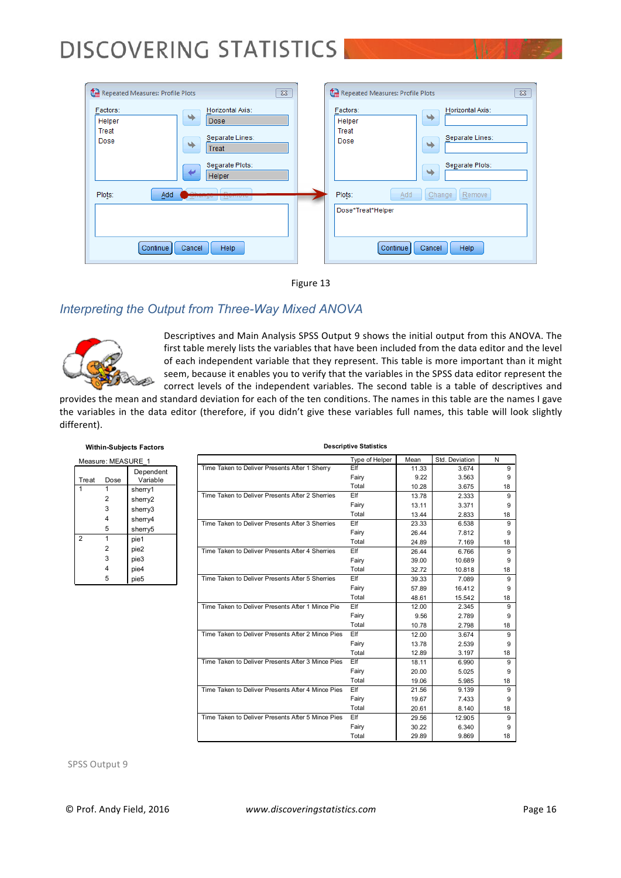| Repeated Measures: Profile Plots<br>$\Sigma$                                                                                              | Repeated Measures: Profile Plots<br>$\Sigma$                                                                 |
|-------------------------------------------------------------------------------------------------------------------------------------------|--------------------------------------------------------------------------------------------------------------|
| Factors:<br>Horizontal Axis:<br>٠<br>Helper<br><b>Dose</b><br>Treat<br>Separate Lines:<br>Dose<br>٠<br>Treat<br>Separate Plots:<br>Helper | Factors:<br>Horizontal Axis:<br>٠<br>Helper<br>Treat<br>Separate Lines:<br>Dose<br>٠<br>Separate Plots:<br>٠ |
| Plots:<br>Add<br>Help<br>Continue<br>Cancel                                                                                               | Plots:<br>Add<br>Change<br>Remove<br>Dose*Treat*Helper<br>Continue<br>Help<br>Cancel                         |



### *Interpreting the Output from Three-Way Mixed ANOVA*



Descriptives and Main Analysis SPSS Output 9 shows the initial output from this ANOVA. The first table merely lists the variables that have been included from the data editor and the level of each independent variable that they represent. This table is more important than it might seem, because it enables you to verify that the variables in the SPSS data editor represent the correct levels of the independent variables. The second table is a table of descriptives and

**Descriptive Statistics**

provides the mean and standard deviation for each of the ten conditions. The names in this table are the names I gave the variables in the data editor (therefore, if you didn't give these variables full names, this table will look slightly different).

| Measure: MEASURE 1 |      |                       |  |  |
|--------------------|------|-----------------------|--|--|
| Treat              | Dose | Dependent<br>Variable |  |  |
|                    |      | sherry1               |  |  |
|                    | 2    | sherry2               |  |  |
|                    | 3    | sherry3               |  |  |
|                    | 4    | sherry4               |  |  |
|                    | 5    | sherry5               |  |  |
| $\overline{2}$     | 1    | pie1                  |  |  |
|                    | 2    | pie2                  |  |  |
|                    | 3    | pie3                  |  |  |
|                    | 4    | pie4                  |  |  |
|                    | 5    | pie5                  |  |  |

|                                                   | Type of Helper | Mean  | Std. Deviation | N  |
|---------------------------------------------------|----------------|-------|----------------|----|
| Time Taken to Deliver Presents After 1 Sherry     | Elf            | 11.33 | 3.674          | 9  |
|                                                   | Fairy          | 9.22  | 3.563          | 9  |
|                                                   | Total          | 10.28 | 3.675          | 18 |
| Time Taken to Deliver Presents After 2 Sherries   | Elf            | 13.78 | 2.333          | 9  |
|                                                   | Fairy          | 13.11 | 3.371          | 9  |
|                                                   | Total          | 13.44 | 2.833          | 18 |
| Time Taken to Deliver Presents After 3 Sherries   | Elf            | 23.33 | 6.538          | 9  |
|                                                   | Fairy          | 26.44 | 7.812          | 9  |
|                                                   | Total          | 24.89 | 7.169          | 18 |
| Time Taken to Deliver Presents After 4 Sherries   | Elf            | 26.44 | 6.766          | 9  |
|                                                   | Fairy          | 39.00 | 10.689         | 9  |
|                                                   | Total          | 32.72 | 10.818         | 18 |
| Time Taken to Deliver Presents After 5 Sherries   | Elf            | 39.33 | 7.089          | 9  |
|                                                   | Fairy          | 57.89 | 16.412         | 9  |
|                                                   | Total          | 48.61 | 15.542         | 18 |
| Time Taken to Deliver Presents After 1 Mince Pie  | Elf            | 12.00 | 2.345          | 9  |
|                                                   | Fairy          | 9.56  | 2.789          | 9  |
|                                                   | Total          | 10.78 | 2.798          | 18 |
| Time Taken to Deliver Presents After 2 Mince Pies | Elf            | 12.00 | 3.674          | 9  |
|                                                   | Fairy          | 13.78 | 2.539          | 9  |
|                                                   | Total          | 12.89 | 3.197          | 18 |
| Time Taken to Deliver Presents After 3 Mince Pies | Elf            | 18.11 | 6.990          | 9  |
|                                                   | Fairy          | 20.00 | 5.025          | 9  |
|                                                   | Total          | 19.06 | 5.985          | 18 |
| Time Taken to Deliver Presents After 4 Mince Pies | Elf            | 21.56 | 9.139          | 9  |
|                                                   | Fairy          | 19.67 | 7.433          | 9  |
|                                                   | Total          | 20.61 | 8.140          | 18 |
| Time Taken to Deliver Presents After 5 Mince Pies | Elf            | 29.56 | 12.905         | 9  |
|                                                   | Fairy          | 30.22 | 6.340          | 9  |
|                                                   | Total          | 29.89 | 9.869          | 18 |

**Within-Subjects Factors**

SPSS Output 9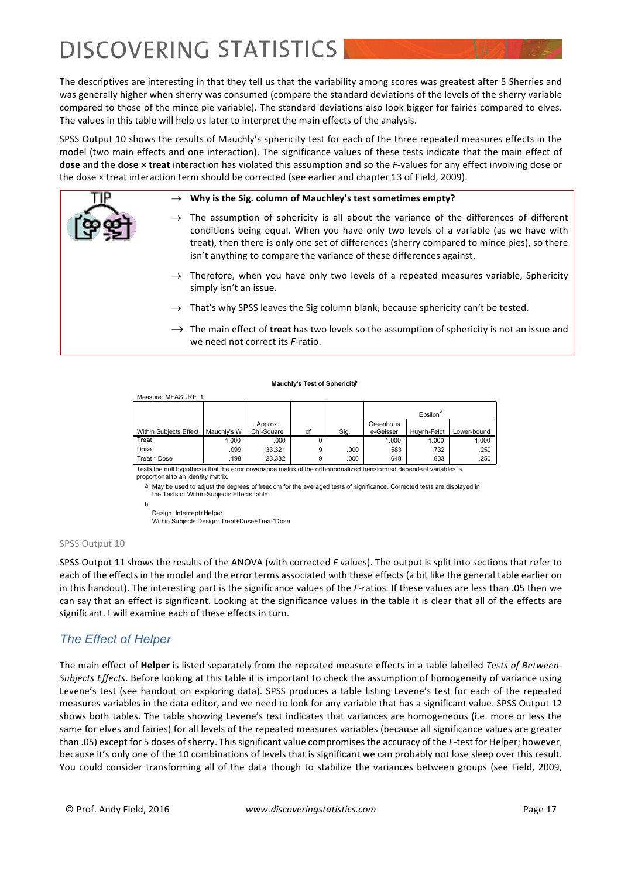The descriptives are interesting in that they tell us that the variability among scores was greatest after 5 Sherries and was generally higher when sherry was consumed (compare the standard deviations of the levels of the sherry variable compared to those of the mince pie variable). The standard deviations also look bigger for fairies compared to elves. The values in this table will help us later to interpret the main effects of the analysis.

SPSS Output 10 shows the results of Mauchly's sphericity test for each of the three repeated measures effects in the model (two main effects and one interaction). The significance values of these tests indicate that the main effect of dose and the dose x treat interaction has violated this assumption and so the *F*-values for any effect involving dose or the dose  $\times$  treat interaction term should be corrected (see earlier and chapter 13 of Field, 2009).

#### Why is the Sig. column of Mauchley's test sometimes empty?

- $\rightarrow$  The assumption of sphericity is all about the variance of the differences of different conditions being equal. When you have only two levels of a variable (as we have with treat), then there is only one set of differences (sherry compared to mince pies), so there isn't anything to compare the variance of these differences against.
- $\rightarrow$  Therefore, when you have only two levels of a repeated measures variable, Sphericity simply isn't an issue.
- $\rightarrow$  That's why SPSS leaves the Sig column blank, because sphericity can't be tested.
- $\rightarrow$  The main effect of **treat** has two levels so the assumption of sphericity is not an issue and we need not correct its *F*-ratio.

#### **Mauchly's Test of Sphericityb**

| Measure: MEASURE 1     |             |            |    |      |           |                      |             |
|------------------------|-------------|------------|----|------|-----------|----------------------|-------------|
|                        |             |            |    |      |           | Epsilon <sup>a</sup> |             |
|                        |             | Approx.    |    |      | Greenhous |                      |             |
| Within Subjects Effect | Mauchly's W | Chi-Square | df | Sig. | e-Geisser | Hu vnh-Feldt         | Lower-bound |
| Treat                  | 1.000       | .000       | 0  |      | 1.000     | 1.000                | 1.000       |
| Dose                   | .099        | 33.321     | 9  | .000 | .583      | .732                 | .250        |
| Treat * Dose           | .198        | 23.332     | 9  | .006 | .648      | .833                 | .250        |

Tests the null hypothesis that the error covariance matrix of the orthonormalized transformed dependent variables is proportional to an identity matrix

a. May be used to adjust the degrees of freedom for the averaged tests of significance. Corrected tests are displayed in the Tests of Within-Subjects Effects table.

Design: Intercept+Helper

Within Subjects Design: Treat+Dose+Treat\*Dose

#### SPSS Output 10

SPSS Output 11 shows the results of the ANOVA (with corrected *F* values). The output is split into sections that refer to each of the effects in the model and the error terms associated with these effects (a bit like the general table earlier on in this handout). The interesting part is the significance values of the *F*-ratios. If these values are less than .05 then we can say that an effect is significant. Looking at the significance values in the table it is clear that all of the effects are significant. I will examine each of these effects in turn.

### *The Effect of Helper*

The main effect of Helper is listed separately from the repeated measure effects in a table labelled Tests of Between-Subjects Effects. Before looking at this table it is important to check the assumption of homogeneity of variance using Levene's test (see handout on exploring data). SPSS produces a table listing Levene's test for each of the repeated measures variables in the data editor, and we need to look for any variable that has a significant value. SPSS Output 12 shows both tables. The table showing Levene's test indicates that variances are homogeneous (i.e. more or less the same for elves and fairies) for all levels of the repeated measures variables (because all significance values are greater than .05) except for 5 doses of sherry. This significant value compromises the accuracy of the *F*-test for Helper; however, because it's only one of the 10 combinations of levels that is significant we can probably not lose sleep over this result. You could consider transforming all of the data though to stabilize the variances between groups (see Field, 2009,

b.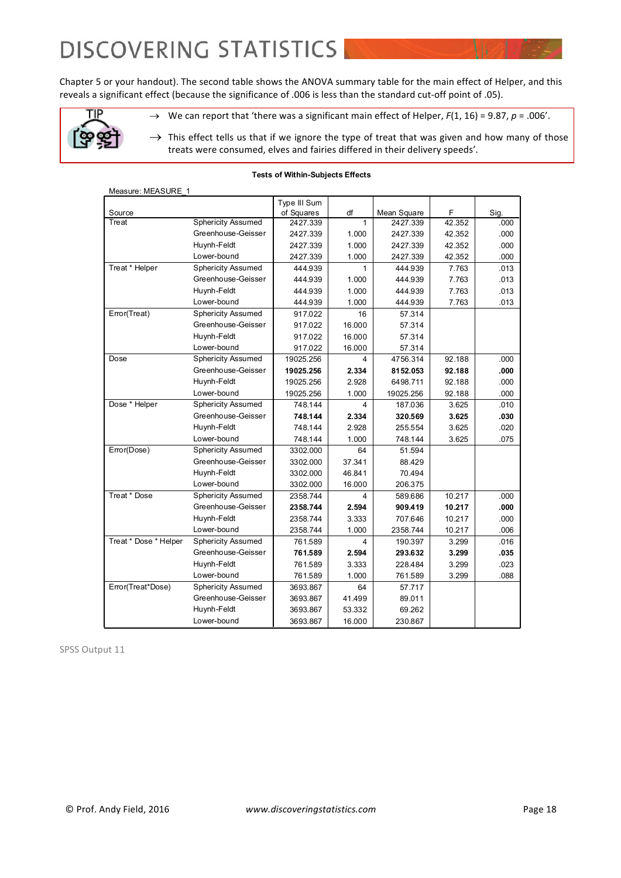Chapter 5 or your handout). The second table shows the ANOVA summary table for the main effect of Helper, and this reveals a significant effect (because the significance of .006 is less than the standard cut-off point of .05).

 $\rightarrow$  We can report that 'there was a significant main effect of Helper, *F*(1, 16) = 9.87, *p* = .006'.



 $\rightarrow$  This effect tells us that if we ignore the type of treat that was given and how many of those treats were consumed, elves and fairies differed in their delivery speeds'.

#### **Tests of Within-Subjects Effects**

| Measure: MEASURE 1    |                           |              |              |             |        |      |
|-----------------------|---------------------------|--------------|--------------|-------------|--------|------|
|                       |                           | Type III Sum |              |             |        |      |
| Source                |                           | of Squares   | df           | Mean Square | F      | Sig. |
| Treat                 | <b>Sphericity Assumed</b> | 2427.339     | $\mathbf{1}$ | 2427.339    | 42.352 | .000 |
|                       | Greenhouse-Geisser        | 2427.339     | 1.000        | 2427.339    | 42.352 | .000 |
|                       | Huynh-Feldt               | 2427.339     | 1.000        | 2427.339    | 42.352 | .000 |
|                       | Lower-bound               | 2427.339     | 1.000        | 2427.339    | 42.352 | .000 |
| Treat * Helper        | <b>Sphericity Assumed</b> | 444.939      | 1            | 444.939     | 7.763  | .013 |
|                       | Greenhouse-Geisser        | 444.939      | 1.000        | 444.939     | 7.763  | .013 |
|                       | Huynh-Feldt               | 444.939      | 1.000        | 444.939     | 7.763  | .013 |
|                       | Lower-bound               | 444.939      | 1.000        | 444.939     | 7.763  | .013 |
| Error(Treat)          | <b>Sphericity Assumed</b> | 917.022      | 16           | 57.314      |        |      |
|                       | Greenhouse-Geisser        | 917.022      | 16.000       | 57.314      |        |      |
|                       | Huynh-Feldt               | 917.022      | 16.000       | 57.314      |        |      |
|                       | Lower-bound               | 917.022      | 16.000       | 57.314      |        |      |
| Dose                  | <b>Sphericity Assumed</b> | 19025.256    | 4            | 4756.314    | 92.188 | .000 |
|                       | Greenhouse-Geisser        | 19025.256    | 2.334        | 8152.053    | 92.188 | .000 |
|                       | Huynh-Feldt               | 19025.256    | 2.928        | 6498.711    | 92.188 | .000 |
|                       | Lower-bound               | 19025.256    | 1.000        | 19025.256   | 92.188 | .000 |
| Dose * Helper         | <b>Sphericity Assumed</b> | 748.144      | 4            | 187.036     | 3.625  | .010 |
|                       | Greenhouse-Geisser        | 748.144      | 2.334        | 320.569     | 3.625  | .030 |
|                       | Huynh-Feldt               | 748.144      | 2.928        | 255.554     | 3.625  | .020 |
|                       | Lower-bound               | 748.144      | 1.000        | 748.144     | 3.625  | .075 |
| Error(Dose)           | <b>Sphericity Assumed</b> | 3302.000     | 64           | 51.594      |        |      |
|                       | Greenhouse-Geisser        | 3302.000     | 37.341       | 88.429      |        |      |
|                       | Huvnh-Feldt               | 3302.000     | 46.841       | 70.494      |        |      |
|                       | Lower-bound               | 3302.000     | 16.000       | 206.375     |        |      |
| Treat * Dose          | <b>Sphericity Assumed</b> | 2358.744     | 4            | 589.686     | 10.217 | .000 |
|                       | Greenhouse-Geisser        | 2358.744     | 2.594        | 909.419     | 10.217 | .000 |
|                       | Huynh-Feldt               | 2358.744     | 3.333        | 707.646     | 10.217 | .000 |
|                       | Lower-bound               | 2358.744     | 1.000        | 2358.744    | 10.217 | .006 |
| Treat * Dose * Helper | <b>Sphericity Assumed</b> | 761.589      | 4            | 190.397     | 3.299  | .016 |
|                       | Greenhouse-Geisser        | 761.589      | 2.594        | 293.632     | 3.299  | .035 |
|                       | Huynh-Feldt               | 761.589      | 3.333        | 228.484     | 3.299  | .023 |
|                       | Lower-bound               | 761.589      | 1.000        | 761.589     | 3.299  | .088 |
| Error(Treat*Dose)     | <b>Sphericity Assumed</b> | 3693.867     | 64           | 57.717      |        |      |
|                       | Greenhouse-Geisser        | 3693.867     | 41.499       | 89.011      |        |      |
|                       | Huynh-Feldt               | 3693.867     | 53.332       | 69.262      |        |      |
|                       | Lower-bound               | 3693.867     | 16.000       | 230.867     |        |      |

SPSS Output 11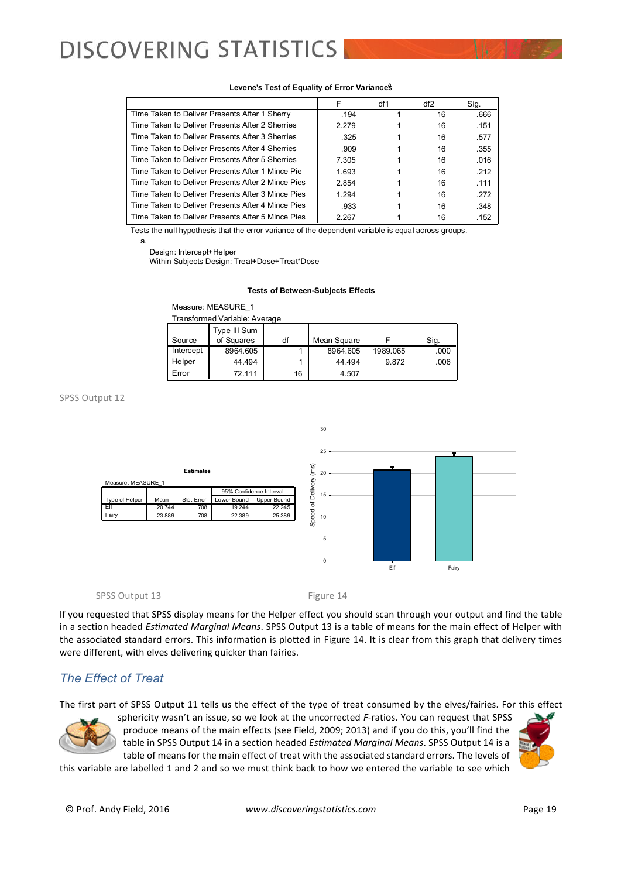#### **Levene's Test of Equality of Error Variances**

|                                                   |       | df1 | df2 | Sig. |
|---------------------------------------------------|-------|-----|-----|------|
| Time Taken to Deliver Presents After 1 Sherry     | .194  |     | 16  | .666 |
| Time Taken to Deliver Presents After 2 Sherries   | 2.279 |     | 16  | .151 |
| Time Taken to Deliver Presents After 3 Sherries   | .325  |     | 16  | .577 |
| Time Taken to Deliver Presents After 4 Sherries   | .909  |     | 16  | .355 |
| Time Taken to Deliver Presents After 5 Sherries   | 7.305 |     | 16  | .016 |
| Time Taken to Deliver Presents After 1 Mince Pie  | 1.693 |     | 16  | .212 |
| Time Taken to Deliver Presents After 2 Mince Pies | 2.854 |     | 16  | .111 |
| Time Taken to Deliver Presents After 3 Mince Pies | 1.294 |     | 16  | .272 |
| Time Taken to Deliver Presents After 4 Mince Pies | .933  |     | 16  | .348 |
| Time Taken to Deliver Presents After 5 Mince Pies | 2.267 |     | 16  | .152 |

Tests the null hypothesis that the error variance of the dependent variable is equal across groups.

a.

Design: Intercept+Helper

Within Subjects Design: Treat+Dose+Treat\*Dose

#### **Tests of Between-Subjects Effects**

| Measure: MEASURE 1 |  |  |  |  |
|--------------------|--|--|--|--|
|                    |  |  |  |  |

| Transformed Variable: Average |                            |    |             |          |      |  |  |
|-------------------------------|----------------------------|----|-------------|----------|------|--|--|
| Source                        | Type III Sum<br>of Squares | df | Mean Square |          | Sig. |  |  |
| Intercept                     | 8964.605                   |    | 8964.605    | 1989.065 | .000 |  |  |
| Helper                        | 44.494                     |    | 44.494      | 9.872    | .006 |  |  |
| Error                         | 72.111                     | 16 | 4.507       |          |      |  |  |

SPSS Output 12



SPSS Output 13 Figure 14

If you requested that SPSS display means for the Helper effect you should scan through your output and find the table in a section headed *Estimated Marginal Means*. SPSS Output 13 is a table of means for the main effect of Helper with the associated standard errors. This information is plotted in Figure 14. It is clear from this graph that delivery times were different, with elves delivering quicker than fairies.

### *The Effect of Treat*

The first part of SPSS Output 11 tells us the effect of the type of treat consumed by the elves/fairies. For this effect



sphericity wasn't an issue, so we look at the uncorrected *F*-ratios. You can request that SPSS produce means of the main effects (see Field, 2009; 2013) and if you do this, you'll find the table in SPSS Output 14 in a section headed *Estimated Marginal Means*. SPSS Output 14 is a table of means for the main effect of treat with the associated standard errors. The levels of

this variable are labelled 1 and 2 and so we must think back to how we entered the variable to see which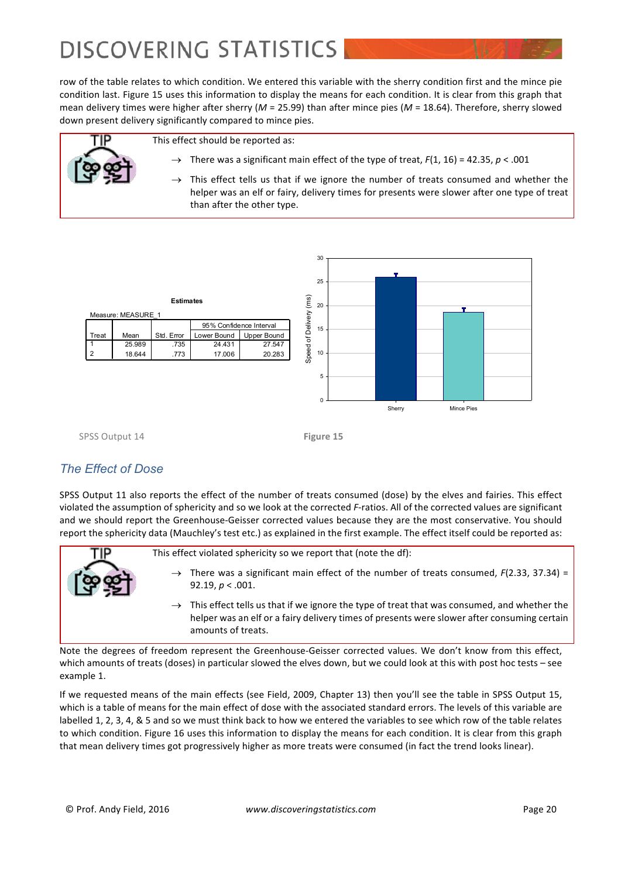row of the table relates to which condition. We entered this variable with the sherry condition first and the mince pie condition last. Figure 15 uses this information to display the means for each condition. It is clear from this graph that mean delivery times were higher after sherry ( $M = 25.99$ ) than after mince pies ( $M = 18.64$ ). Therefore, sherry slowed down present delivery significantly compared to mince pies.

This effect should be reported as:

- $\rightarrow$  There was a significant main effect of the type of treat,  $F(1, 16) = 42.35$ ,  $p < .001$
- This effect tells us that if we ignore the number of treats consumed and whether the helper was an elf or fairy, delivery times for presents were slower after one type of treat than after the other type.





SPSS Output 14 **Figure 15** 

### *The Effect of Dose*

SPSS Output 11 also reports the effect of the number of treats consumed (dose) by the elves and fairies. This effect violated the assumption of sphericity and so we look at the corrected *F*-ratios. All of the corrected values are significant and we should report the Greenhouse-Geisser corrected values because they are the most conservative. You should report the sphericity data (Mauchley's test etc.) as explained in the first example. The effect itself could be reported as:

This effect violated sphericity so we report that (note the df):

- There was a significant main effect of the number of treats consumed,  $F(2.33, 37.34) =$ 92.19,  $p < .001$ .
- This effect tells us that if we ignore the type of treat that was consumed, and whether the helper was an elf or a fairy delivery times of presents were slower after consuming certain amounts of treats.

Note the degrees of freedom represent the Greenhouse-Geisser corrected values. We don't know from this effect, which amounts of treats (doses) in particular slowed the elves down, but we could look at this with post hoc tests – see example 1.

If we requested means of the main effects (see Field, 2009, Chapter 13) then you'll see the table in SPSS Output 15, which is a table of means for the main effect of dose with the associated standard errors. The levels of this variable are labelled 1, 2, 3, 4, & 5 and so we must think back to how we entered the variables to see which row of the table relates to which condition. Figure 16 uses this information to display the means for each condition. It is clear from this graph that mean delivery times got progressively higher as more treats were consumed (in fact the trend looks linear).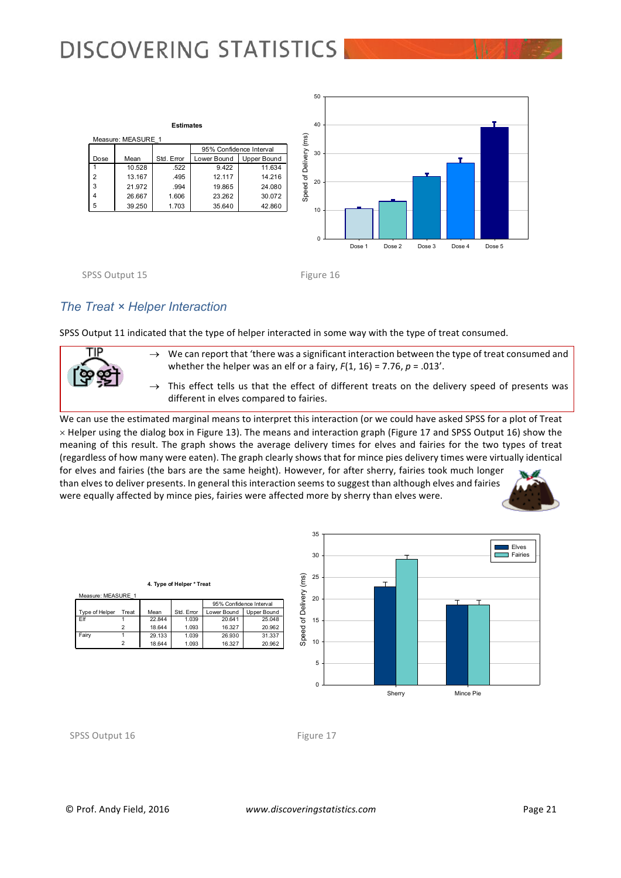

SPSS Output 15 Figure 16

### *The Treat × Helper Interaction*

**4. Type of Helper \* Treat**

22.844 1.039 20.641 25.048 18.644 | 1.093 | 16.327 | 20.962 29.133 1.039 26.930 31.337<br>18.644 1.093 16.327 20.962

Mean Std. Error Lower Bound Upper Bound<br>22 844 1039 20 641 25 048

95% Confidence Interval

20.962

SPSS Output 11 indicated that the type of helper interacted in some way with the type of treat consumed.



 $\rightarrow$  We can report that 'there was a significant interaction between the type of treat consumed and whether the helper was an elf or a fairy,  $F(1, 16) = 7.76$ ,  $p = .013'$ .

 $\rightarrow$  This effect tells us that the effect of different treats on the delivery speed of presents was different in elves compared to fairies.

We can use the estimated marginal means to interpret this interaction (or we could have asked SPSS for a plot of Treat  $\times$  Helper using the dialog box in Figure 13). The means and interaction graph (Figure 17 and SPSS Output 16) show the meaning of this result. The graph shows the average delivery times for elves and fairies for the two types of treat (regardless of how many were eaten). The graph clearly shows that for mince pies delivery times were virtually identical for elves and fairies (the bars are the same height). However, for after sherry, fairies took much longer than elves to deliver presents. In general this interaction seems to suggest than although elves and fairies were equally affected by mince pies, fairies were affected more by sherry than elves were.





SPSS Output 16 Figure 17

**MEASURE** 

Type of H Elf Fairy

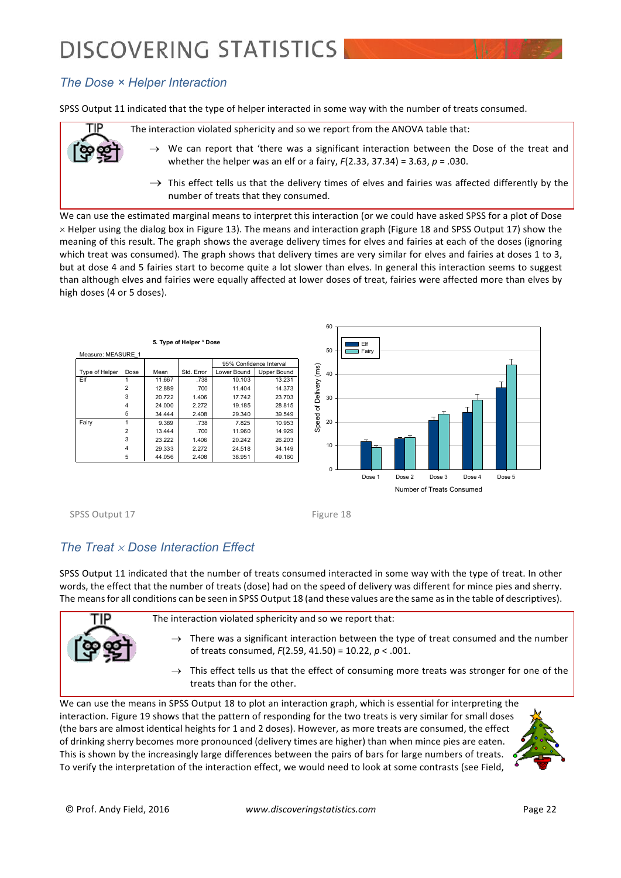### *The Dose × Helper Interaction*

SPSS Output 11 indicated that the type of helper interacted in some way with the number of treats consumed.

The interaction violated sphericity and so we report from the ANOVA table that:

- $\rightarrow$  We can report that 'there was a significant interaction between the Dose of the treat and whether the helper was an elf or a fairy,  $F(2.33, 37.34) = 3.63$ ,  $p = .030$ .
- $\rightarrow$  This effect tells us that the delivery times of elves and fairies was affected differently by the number of treats that they consumed.

We can use the estimated marginal means to interpret this interaction (or we could have asked SPSS for a plot of Dose  $\times$  Helper using the dialog box in Figure 13). The means and interaction graph (Figure 18 and SPSS Output 17) show the meaning of this result. The graph shows the average delivery times for elves and fairies at each of the doses (ignoring which treat was consumed). The graph shows that delivery times are very similar for elves and fairies at doses 1 to 3, but at dose 4 and 5 fairies start to become quite a lot slower than elves. In general this interaction seems to suggest than although elves and fairies were equally affected at lower doses of treat, fairies were affected more than elves by high doses (4 or 5 doses).



SPSS Output 17 Figure 18

### *The Treat x Dose Interaction Effect*

SPSS Output 11 indicated that the number of treats consumed interacted in some way with the type of treat. In other words, the effect that the number of treats (dose) had on the speed of delivery was different for mince pies and sherry. The means for all conditions can be seen in SPSS Output 18 (and these values are the same as in the table of descriptives).



We can use the means in SPSS Output 18 to plot an interaction graph, which is essential for interpreting the interaction. Figure 19 shows that the pattern of responding for the two treats is very similar for small doses (the bars are almost identical heights for 1 and 2 doses). However, as more treats are consumed, the effect of drinking sherry becomes more pronounced (delivery times are higher) than when mince pies are eaten. This is shown by the increasingly large differences between the pairs of bars for large numbers of treats. To verify the interpretation of the interaction effect, we would need to look at some contrasts (see Field,

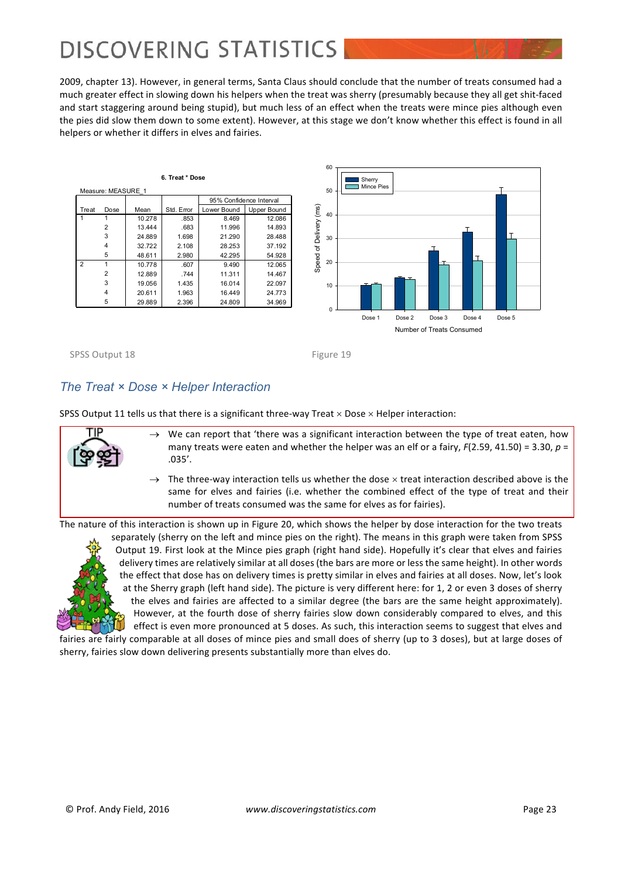2009, chapter 13). However, in general terms, Santa Claus should conclude that the number of treats consumed had a much greater effect in slowing down his helpers when the treat was sherry (presumably because they all get shit-faced and start staggering around being stupid), but much less of an effect when the treats were mince pies although even the pies did slow them down to some extent). However, at this stage we don't know whether this effect is found in all helpers or whether it differs in elves and fairies.

|                | Measure: MEASURE 1 |        | 6. Treat * Dose |             |                         |          | 50       | Sherry<br>Mince Pies |
|----------------|--------------------|--------|-----------------|-------------|-------------------------|----------|----------|----------------------|
|                |                    |        |                 |             | 95% Confidence Interval |          |          |                      |
| Treat          | Dose               | Mean   | Std. Error      | Lower Bound | Upper Bound             | (ms)     |          |                      |
|                |                    | 10.278 | .853            | 8.469       | 12.086                  |          | 40       |                      |
|                | $\overline{2}$     | 13.444 | .683            | 11.996      | 14.893                  |          |          |                      |
|                | 3                  | 24.889 | 1.698           | 21.290      | 28.488                  | Delivery | 30       |                      |
|                | 4                  | 32.722 | 2.108           | 28.253      | 37.192                  | $\rm 5$  |          |                      |
|                | 5                  | 48.611 | 2.980           | 42.295      | 54.928                  |          |          |                      |
| $\overline{2}$ | 1                  | 10.778 | .607            | 9.490       | 12.065                  | Speed    | 20       |                      |
|                | $\overline{2}$     | 12.889 | .744            | 11.311      | 14.467                  |          |          |                      |
|                | 3                  | 19.056 | 1.435           | 16.014      | 22.097                  |          | 10       |                      |
|                | 4                  | 20.611 | 1.963           | 16.449      | 24.773                  |          |          |                      |
|                | 5                  | 29.889 | 2.396           | 24.809      | 34.969                  |          | $\Omega$ |                      |
|                |                    |        |                 |             |                         |          |          | Doon 1<br>$D = 0$    |



Number of Treats Consumed



### *The Treat × Dose × Helper Interaction*

SPSS Output 11 tells us that there is a significant three-way Treat  $\times$  Dose  $\times$  Helper interaction:



- We can report that 'there was a significant interaction between the type of treat eaten, how many treats were eaten and whether the helper was an elf or a fairy,  $F(2.59, 41.50) = 3.30$ ,  $p =$ .035'.
- $\rightarrow$  The three-way interaction tells us whether the dose  $\times$  treat interaction described above is the same for elves and fairies (i.e. whether the combined effect of the type of treat and their number of treats consumed was the same for elves as for fairies).

The nature of this interaction is shown up in Figure 20, which shows the helper by dose interaction for the two treats



separately (sherry on the left and mince pies on the right). The means in this graph were taken from SPSS Output 19. First look at the Mince pies graph (right hand side). Hopefully it's clear that elves and fairies delivery times are relatively similar at all doses (the bars are more or less the same height). In other words the effect that dose has on delivery times is pretty similar in elves and fairies at all doses. Now, let's look at the Sherry graph (left hand side). The picture is very different here: for 1, 2 or even 3 doses of sherry the elves and fairies are affected to a similar degree (the bars are the same height approximately). However, at the fourth dose of sherry fairies slow down considerably compared to elves, and this effect is even more pronounced at 5 doses. As such, this interaction seems to suggest that elves and

fairies are fairly comparable at all doses of mince pies and small does of sherry (up to 3 doses), but at large doses of sherry, fairies slow down delivering presents substantially more than elves do.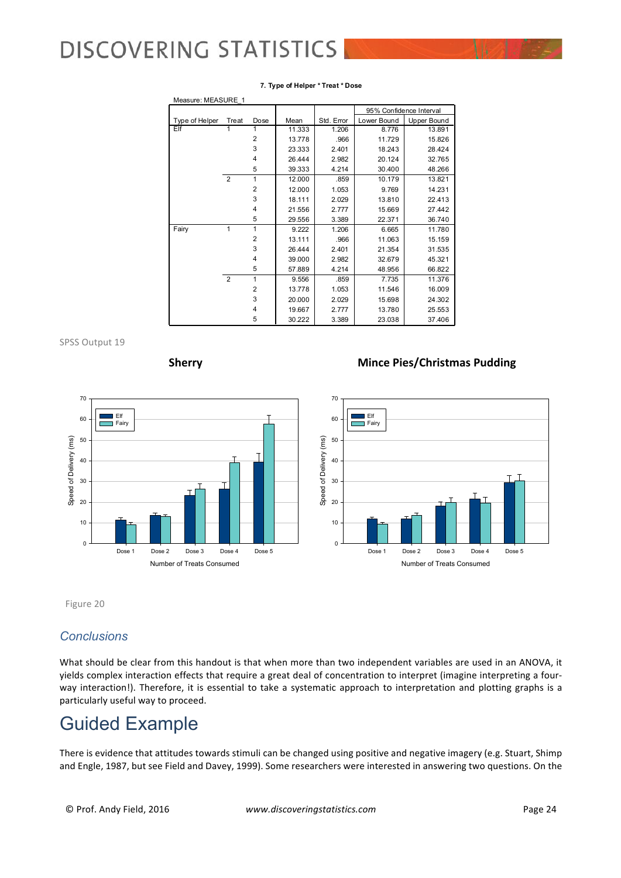| Measure: MEASURE 1 |                |                |        |            |             |                         |  |
|--------------------|----------------|----------------|--------|------------|-------------|-------------------------|--|
|                    |                |                |        |            |             | 95% Confidence Interval |  |
| Type of Helper     | Treat          | Dose           | Mean   | Std. Error | Lower Bound | Upper Bound             |  |
| Elf                | 1              | 1              | 11.333 | 1.206      | 8.776       | 13.891                  |  |
|                    |                | $\overline{2}$ | 13.778 | .966       | 11.729      | 15.826                  |  |
|                    |                | 3              | 23.333 | 2.401      | 18.243      | 28.424                  |  |
|                    |                | 4              | 26.444 | 2.982      | 20.124      | 32.765                  |  |
|                    |                | 5              | 39.333 | 4.214      | 30.400      | 48.266                  |  |
|                    | $\overline{2}$ | 1              | 12.000 | .859       | 10.179      | 13.821                  |  |
|                    |                | $\overline{2}$ | 12.000 | 1.053      | 9.769       | 14.231                  |  |
|                    |                | 3              | 18.111 | 2.029      | 13.810      | 22.413                  |  |
|                    |                | 4              | 21.556 | 2.777      | 15.669      | 27.442                  |  |
|                    |                | 5              | 29.556 | 3.389      | 22.371      | 36.740                  |  |
| Fairy              | 1              | 1              | 9.222  | 1.206      | 6.665       | 11.780                  |  |
|                    |                | $\overline{2}$ | 13.111 | .966       | 11.063      | 15.159                  |  |
|                    |                | 3              | 26.444 | 2.401      | 21.354      | 31.535                  |  |
|                    |                | 4              | 39.000 | 2.982      | 32.679      | 45.321                  |  |
|                    |                | 5              | 57.889 | 4.214      | 48.956      | 66.822                  |  |
|                    | 2              | 1              | 9.556  | .859       | 7.735       | 11.376                  |  |
|                    |                | $\overline{2}$ | 13.778 | 1.053      | 11.546      | 16.009                  |  |
|                    |                | 3              | 20.000 | 2.029      | 15.698      | 24.302                  |  |
|                    |                | 4              | 19.667 | 2.777      | 13.780      | 25.553                  |  |
|                    |                | 5              | 30.222 | 3.389      | 23.038      | 37.406                  |  |

#### **7. Type of Helper \* Treat \* Dose**

SPSS Output 19



#### **Sherry Mince Pies/Christmas Pudding**



Figure 20

#### *Conclusions*

What should be clear from this handout is that when more than two independent variables are used in an ANOVA, it yields complex interaction effects that require a great deal of concentration to interpret (imagine interpreting a fourway interaction!). Therefore, it is essential to take a systematic approach to interpretation and plotting graphs is a particularly useful way to proceed.

### Guided Example

There is evidence that attitudes towards stimuli can be changed using positive and negative imagery (e.g. Stuart, Shimp and Engle, 1987, but see Field and Davey, 1999). Some researchers were interested in answering two questions. On the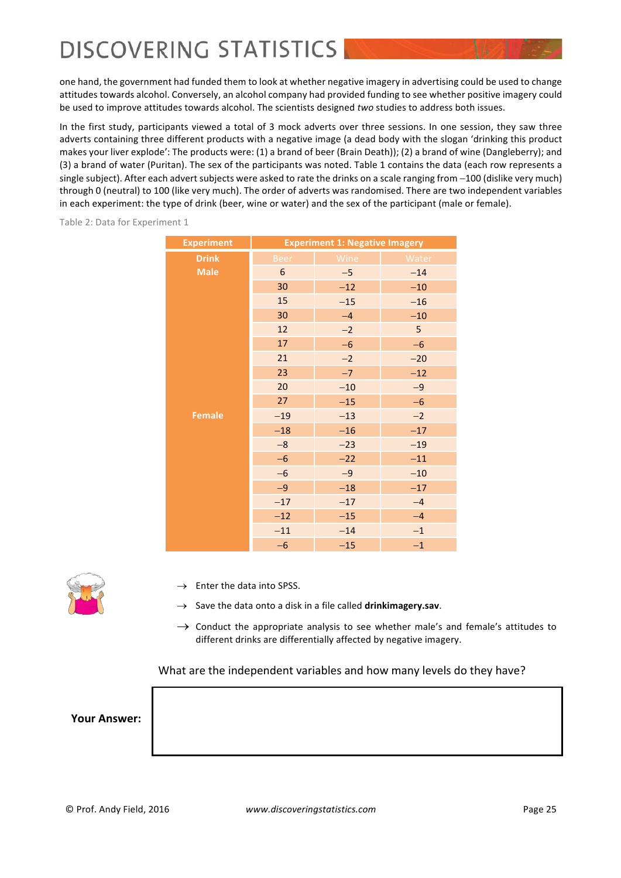one hand, the government had funded them to look at whether negative imagery in advertising could be used to change attitudes towards alcohol. Conversely, an alcohol company had provided funding to see whether positive imagery could be used to improve attitudes towards alcohol. The scientists designed *two* studies to address both issues.

In the first study, participants viewed a total of 3 mock adverts over three sessions. In one session, they saw three adverts containing three different products with a negative image (a dead body with the slogan 'drinking this product makes your liver explode': The products were: (1) a brand of beer (Brain Death)); (2) a brand of wine (Dangleberry); and (3) a brand of water (Puritan). The sex of the participants was noted. Table 1 contains the data (each row represents a single subject). After each advert subjects were asked to rate the drinks on a scale ranging from  $-100$  (dislike very much) through 0 (neutral) to 100 (like very much). The order of adverts was randomised. There are two independent variables in each experiment: the type of drink (beer, wine or water) and the sex of the participant (male or female).

Table 2: Data for Experiment 1

| <b>Experiment</b> | <b>Experiment 1: Negative Imagery</b> |       |       |  |  |  |
|-------------------|---------------------------------------|-------|-------|--|--|--|
| <b>Drink</b>      | <b>Beer</b>                           | Wine  | Water |  |  |  |
| <b>Male</b>       | $\boldsymbol{6}$                      | $-5$  | $-14$ |  |  |  |
|                   | 30                                    | $-12$ | $-10$ |  |  |  |
|                   | 15                                    | $-15$ | $-16$ |  |  |  |
|                   | 30                                    | $-4$  | $-10$ |  |  |  |
|                   | 12                                    | $-2$  | 5     |  |  |  |
|                   | 17                                    | $-6$  | $-6$  |  |  |  |
|                   | 21                                    | $-2$  | $-20$ |  |  |  |
|                   | 23                                    | $-7$  | $-12$ |  |  |  |
|                   | 20                                    | $-10$ | $-9$  |  |  |  |
|                   | 27                                    | $-15$ | $-6$  |  |  |  |
| <b>Female</b>     | $-19$                                 | $-13$ | $-2$  |  |  |  |
|                   | $-18$                                 | $-16$ | $-17$ |  |  |  |
|                   | $-\bf 8$                              | $-23$ | $-19$ |  |  |  |
|                   | $-6$                                  | $-22$ | $-11$ |  |  |  |
|                   | $-6$                                  | $-9$  | $-10$ |  |  |  |
|                   | $-9$                                  | $-18$ | $-17$ |  |  |  |
|                   | $-17$                                 | $-17$ | $-4$  |  |  |  |
|                   | $-12$                                 | $-15$ | $-4$  |  |  |  |
|                   | $-11$                                 | $-14$ | $-1$  |  |  |  |
|                   | $-6$                                  | $-15$ | $-1$  |  |  |  |



- $\rightarrow$  Enter the data into SPSS.
- $\rightarrow$  Save the data onto a disk in a file called **drinkimagery.sav**.
- $\rightarrow$  Conduct the appropriate analysis to see whether male's and female's attitudes to different drinks are differentially affected by negative imagery.

What are the independent variables and how many levels do they have?

**Your Answer:**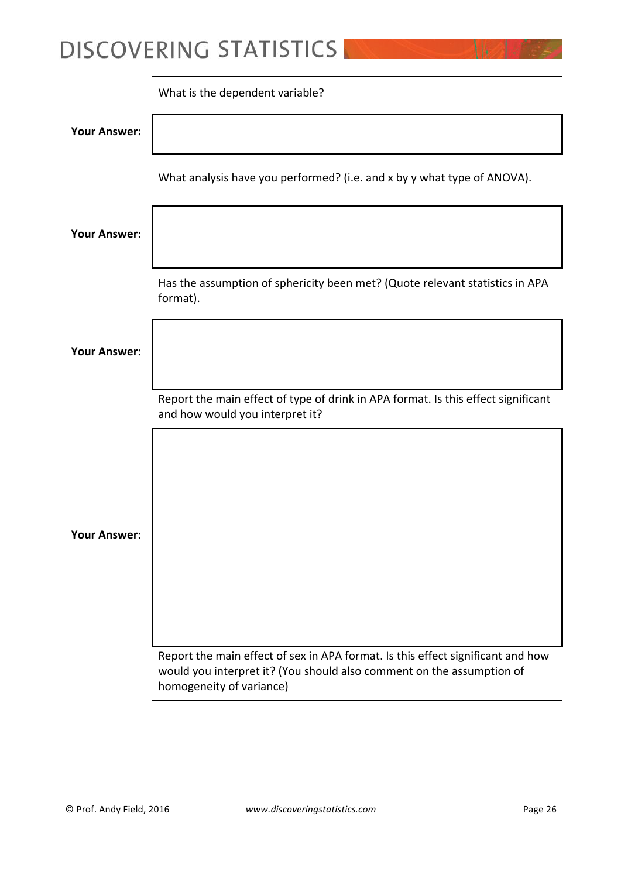|                     | What is the dependent variable?                                                                                                                          |
|---------------------|----------------------------------------------------------------------------------------------------------------------------------------------------------|
| <b>Your Answer:</b> |                                                                                                                                                          |
|                     | What analysis have you performed? (i.e. and x by y what type of ANOVA).                                                                                  |
| <b>Your Answer:</b> |                                                                                                                                                          |
|                     | Has the assumption of sphericity been met? (Quote relevant statistics in APA<br>format).                                                                 |
| <b>Your Answer:</b> |                                                                                                                                                          |
|                     | Report the main effect of type of drink in APA format. Is this effect significant<br>and how would you interpret it?                                     |
|                     |                                                                                                                                                          |
|                     |                                                                                                                                                          |
| <b>Your Answer:</b> |                                                                                                                                                          |
|                     |                                                                                                                                                          |
|                     |                                                                                                                                                          |
|                     | Report the main effect of sex in APA format. Is this effect significant and how<br>would you interpret it? (You should also comment on the assumption of |

homogeneity of variance)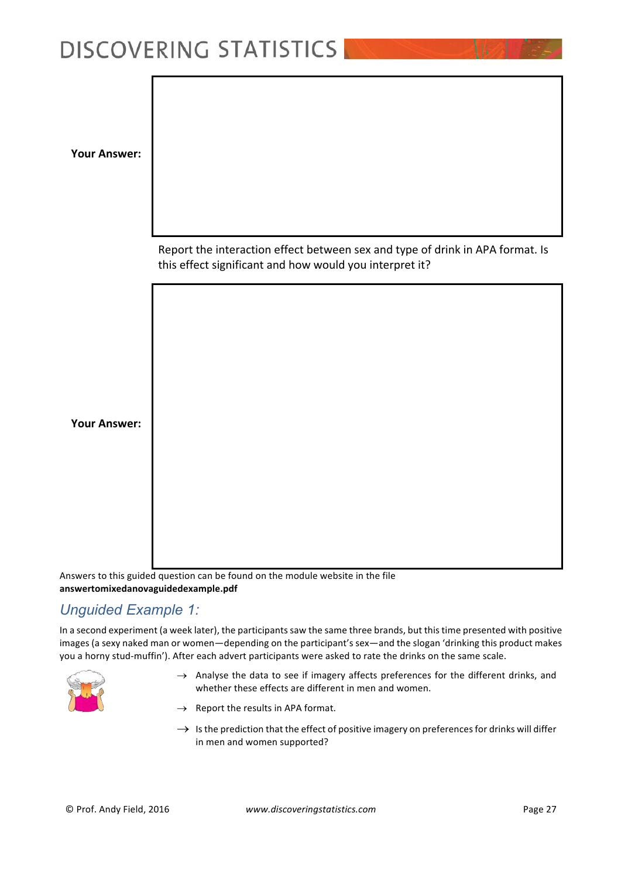**Your Answer:**

Report the interaction effect between sex and type of drink in APA format. Is this effect significant and how would you interpret it?

**Your Answer:**

Answers to this guided question can be found on the module website in the file **answertomixedanovaguidedexample.pdf**

### *Unguided Example 1:*

In a second experiment (a week later), the participants saw the same three brands, but this time presented with positive images (a sexy naked man or women—depending on the participant's sex—and the slogan 'drinking this product makes you a horny stud-muffin'). After each advert participants were asked to rate the drinks on the same scale.



- $\rightarrow$  Analyse the data to see if imagery affects preferences for the different drinks, and whether these effects are different in men and women.
- $\rightarrow$  Report the results in APA format.
- $\rightarrow$  Is the prediction that the effect of positive imagery on preferences for drinks will differ in men and women supported?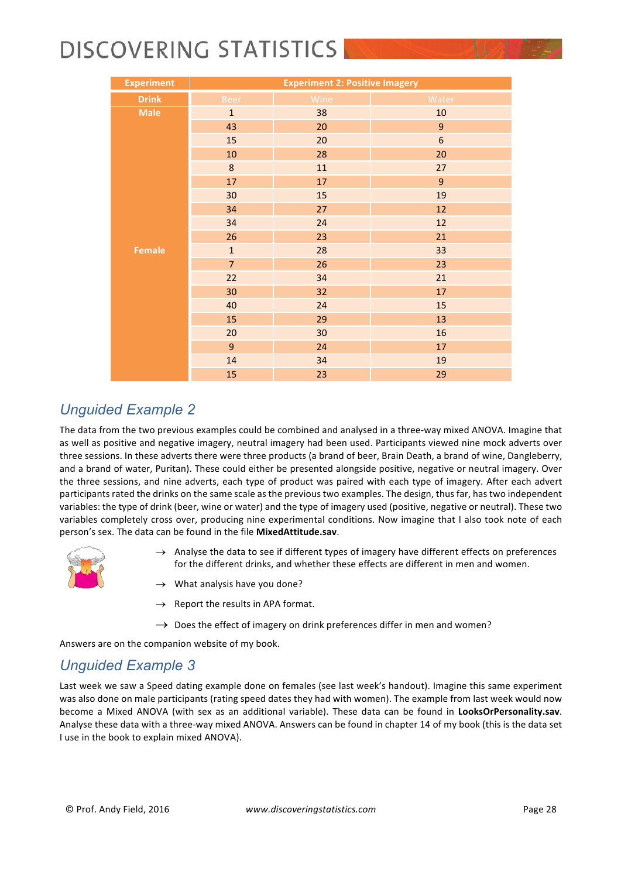| <b>Experiment</b> |                | <b>Experiment 2: Positive Imagery</b> |                |  |  |  |  |  |
|-------------------|----------------|---------------------------------------|----------------|--|--|--|--|--|
| <b>Drink</b>      | <b>Beer</b>    | Wine                                  | Water          |  |  |  |  |  |
| <b>Male</b>       | $\mathbf{1}$   | 38                                    | $10\,$         |  |  |  |  |  |
|                   | 43             | 20                                    | 9              |  |  |  |  |  |
|                   | 15             | 20                                    | $6\phantom{a}$ |  |  |  |  |  |
|                   | 10             | 28                                    | 20             |  |  |  |  |  |
|                   | $\bf 8$        | 11                                    | 27             |  |  |  |  |  |
|                   | 17             | 17                                    | 9              |  |  |  |  |  |
|                   | 30             | 15                                    | 19             |  |  |  |  |  |
|                   | 34             | 27                                    | 12             |  |  |  |  |  |
|                   | 34             | 24                                    | 12             |  |  |  |  |  |
|                   | 26             | 23                                    | 21             |  |  |  |  |  |
| <b>Female</b>     | $\mathbf{1}$   | 28                                    | 33             |  |  |  |  |  |
|                   | $\overline{7}$ | 26                                    | 23             |  |  |  |  |  |
|                   | 22             | 34                                    | 21             |  |  |  |  |  |
|                   | 30             | 32                                    | 17             |  |  |  |  |  |
|                   | 40             | 24                                    | 15             |  |  |  |  |  |
|                   | 15             | 29                                    | 13             |  |  |  |  |  |
|                   | 20             | 30                                    | 16             |  |  |  |  |  |
|                   | $\overline{9}$ | 24                                    | 17             |  |  |  |  |  |
|                   | 14             | 34                                    | 19             |  |  |  |  |  |
|                   | 15             | 23                                    | 29             |  |  |  |  |  |

### *Unguided Example 2*

The data from the two previous examples could be combined and analysed in a three-way mixed ANOVA. Imagine that as well as positive and negative imagery, neutral imagery had been used. Participants viewed nine mock adverts over three sessions. In these adverts there were three products (a brand of beer, Brain Death, a brand of wine, Dangleberry, and a brand of water, Puritan). These could either be presented alongside positive, negative or neutral imagery. Over the three sessions, and nine adverts, each type of product was paired with each type of imagery. After each advert participants rated the drinks on the same scale as the previous two examples. The design, thus far, has two independent variables: the type of drink (beer, wine or water) and the type of imagery used (positive, negative or neutral). These two variables completely cross over, producing nine experimental conditions. Now imagine that I also took note of each person's sex. The data can be found in the file MixedAttitude.sav.



- $\rightarrow$  Analyse the data to see if different types of imagery have different effects on preferences for the different drinks, and whether these effects are different in men and women.
- $\rightarrow$  What analysis have you done?
- Report the results in APA format.
- $\rightarrow$  Does the effect of imagery on drink preferences differ in men and women?

Answers are on the companion website of my book.

### *Unguided Example 3*

Last week we saw a Speed dating example done on females (see last week's handout). Imagine this same experiment was also done on male participants (rating speed dates they had with women). The example from last week would now become a Mixed ANOVA (with sex as an additional variable). These data can be found in **LooksOrPersonality.sav**. Analyse these data with a three-way mixed ANOVA. Answers can be found in chapter 14 of my book (this is the data set I use in the book to explain mixed ANOVA).